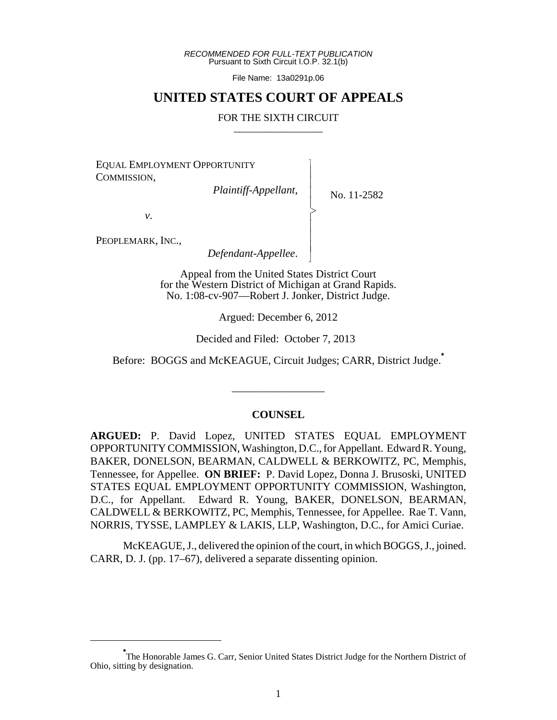*RECOMMENDED FOR FULL-TEXT PUBLICATION* Pursuant to Sixth Circuit I.O.P. 32.1(b)

File Name: 13a0291p.06

### **UNITED STATES COURT OF APPEALS**

#### FOR THE SIXTH CIRCUIT

 $\overline{\phantom{a}}$ - - - > , - - - N

EQUAL EMPLOYMENT OPPORTUNITY COMMISSION,

*Plaintiff-Appellant*,

No. 11-2582

*v*.

PEOPLEMARK, INC.,

*Defendant-Appellee*.

Appeal from the United States District Court for the Western District of Michigan at Grand Rapids. No. 1:08-cv-907—Robert J. Jonker, District Judge.

Argued: December 6, 2012

Decided and Filed: October 7, 2013

Before: BOGGS and McKEAGUE, Circuit Judges; CARR, District Judge.**\***

\_\_\_\_\_\_\_\_\_\_\_\_\_\_\_\_\_

### **COUNSEL**

**ARGUED:** P. David Lopez, UNITED STATES EQUAL EMPLOYMENT OPPORTUNITY COMMISSION, Washington, D.C., for Appellant. Edward R. Young, BAKER, DONELSON, BEARMAN, CALDWELL & BERKOWITZ, PC, Memphis, Tennessee, for Appellee. **ON BRIEF:** P. David Lopez, Donna J. Brusoski, UNITED STATES EQUAL EMPLOYMENT OPPORTUNITY COMMISSION, Washington, D.C., for Appellant. Edward R. Young, BAKER, DONELSON, BEARMAN, CALDWELL & BERKOWITZ, PC, Memphis, Tennessee, for Appellee. Rae T. Vann, NORRIS, TYSSE, LAMPLEY & LAKIS, LLP, Washington, D.C., for Amici Curiae.

McKEAGUE, J., delivered the opinion of the court, in which BOGGS, J., joined. CARR, D. J. (pp. 17–67), delivered a separate dissenting opinion.

**<sup>\*</sup>** The Honorable James G. Carr, Senior United States District Judge for the Northern District of Ohio, sitting by designation.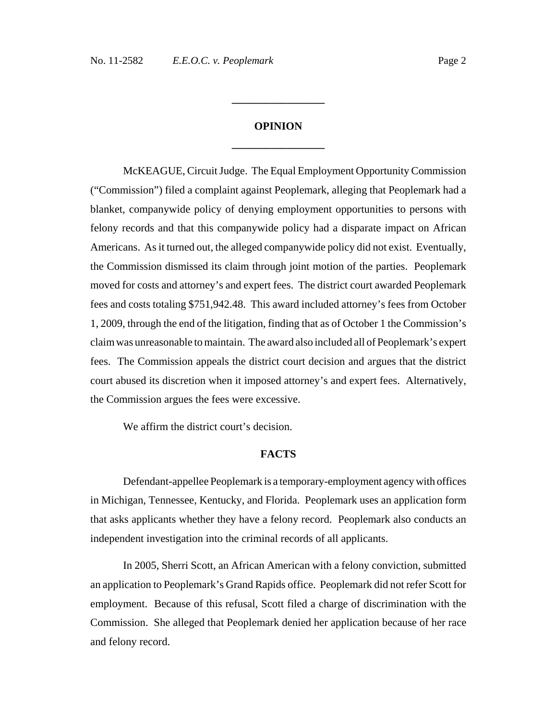# **OPINION \_\_\_\_\_\_\_\_\_\_\_\_\_\_\_\_\_**

**\_\_\_\_\_\_\_\_\_\_\_\_\_\_\_\_\_**

McKEAGUE, Circuit Judge. The Equal Employment Opportunity Commission ("Commission") filed a complaint against Peoplemark, alleging that Peoplemark had a blanket, companywide policy of denying employment opportunities to persons with felony records and that this companywide policy had a disparate impact on African Americans. As it turned out, the alleged companywide policy did not exist. Eventually, the Commission dismissed its claim through joint motion of the parties. Peoplemark moved for costs and attorney's and expert fees. The district court awarded Peoplemark fees and costs totaling \$751,942.48. This award included attorney's fees from October 1, 2009, through the end of the litigation, finding that as of October 1 the Commission's claim was unreasonable to maintain. The award also included all of Peoplemark's expert fees. The Commission appeals the district court decision and argues that the district court abused its discretion when it imposed attorney's and expert fees. Alternatively, the Commission argues the fees were excessive.

We affirm the district court's decision.

#### **FACTS**

Defendant-appellee Peoplemark is a temporary-employment agency with offices in Michigan, Tennessee, Kentucky, and Florida. Peoplemark uses an application form that asks applicants whether they have a felony record. Peoplemark also conducts an independent investigation into the criminal records of all applicants.

In 2005, Sherri Scott, an African American with a felony conviction, submitted an application to Peoplemark's Grand Rapids office. Peoplemark did not refer Scott for employment. Because of this refusal, Scott filed a charge of discrimination with the Commission. She alleged that Peoplemark denied her application because of her race and felony record.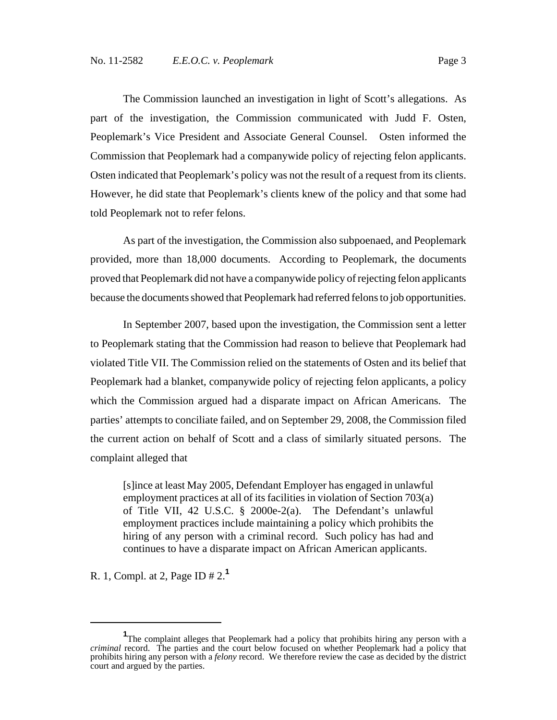The Commission launched an investigation in light of Scott's allegations. As part of the investigation, the Commission communicated with Judd F. Osten, Peoplemark's Vice President and Associate General Counsel. Osten informed the Commission that Peoplemark had a companywide policy of rejecting felon applicants. Osten indicated that Peoplemark's policy was not the result of a request from its clients. However, he did state that Peoplemark's clients knew of the policy and that some had told Peoplemark not to refer felons.

As part of the investigation, the Commission also subpoenaed, and Peoplemark provided, more than 18,000 documents. According to Peoplemark, the documents proved that Peoplemark did not have a companywide policy of rejecting felon applicants because the documents showed that Peoplemark had referred felons to job opportunities.

In September 2007, based upon the investigation, the Commission sent a letter to Peoplemark stating that the Commission had reason to believe that Peoplemark had violated Title VII. The Commission relied on the statements of Osten and its belief that Peoplemark had a blanket, companywide policy of rejecting felon applicants, a policy which the Commission argued had a disparate impact on African Americans. The parties' attempts to conciliate failed, and on September 29, 2008, the Commission filed the current action on behalf of Scott and a class of similarly situated persons. The complaint alleged that

[s]ince at least May 2005, Defendant Employer has engaged in unlawful employment practices at all of its facilities in violation of Section 703(a) of Title VII, 42 U.S.C. § 2000e-2(a). The Defendant's unlawful employment practices include maintaining a policy which prohibits the hiring of any person with a criminal record. Such policy has had and continues to have a disparate impact on African American applicants.

R. 1, Compl. at 2, Page ID # 2.**<sup>1</sup>**

<sup>&</sup>lt;sup>1</sup>The complaint alleges that Peoplemark had a policy that prohibits hiring any person with a *criminal* record. The parties and the court below focused on whether Peoplemark had a policy that prohibits hiring any person with a *felony* record. We therefore review the case as decided by the district court and argued by the parties.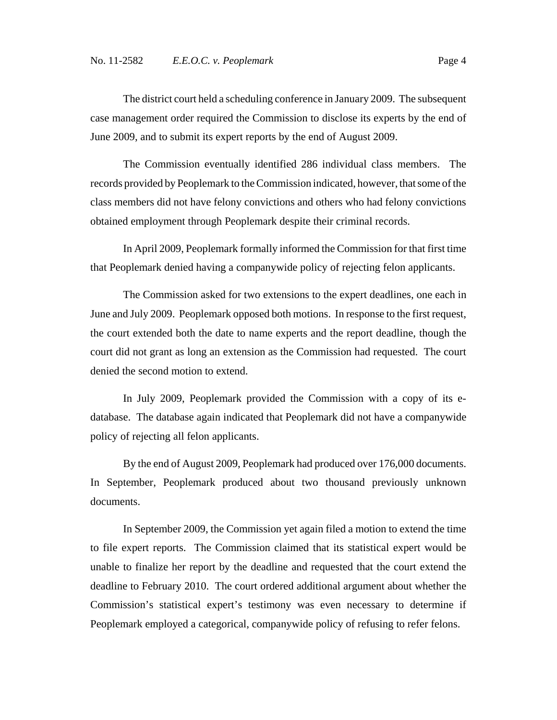The district court held a scheduling conference in January 2009. The subsequent case management order required the Commission to disclose its experts by the end of June 2009, and to submit its expert reports by the end of August 2009.

The Commission eventually identified 286 individual class members. The records provided by Peoplemark to the Commission indicated, however, that some of the class members did not have felony convictions and others who had felony convictions obtained employment through Peoplemark despite their criminal records.

In April 2009, Peoplemark formally informed the Commission for that first time that Peoplemark denied having a companywide policy of rejecting felon applicants.

The Commission asked for two extensions to the expert deadlines, one each in June and July 2009. Peoplemark opposed both motions. In response to the first request, the court extended both the date to name experts and the report deadline, though the court did not grant as long an extension as the Commission had requested. The court denied the second motion to extend.

In July 2009, Peoplemark provided the Commission with a copy of its edatabase. The database again indicated that Peoplemark did not have a companywide policy of rejecting all felon applicants.

By the end of August 2009, Peoplemark had produced over 176,000 documents. In September, Peoplemark produced about two thousand previously unknown documents.

In September 2009, the Commission yet again filed a motion to extend the time to file expert reports. The Commission claimed that its statistical expert would be unable to finalize her report by the deadline and requested that the court extend the deadline to February 2010. The court ordered additional argument about whether the Commission's statistical expert's testimony was even necessary to determine if Peoplemark employed a categorical, companywide policy of refusing to refer felons.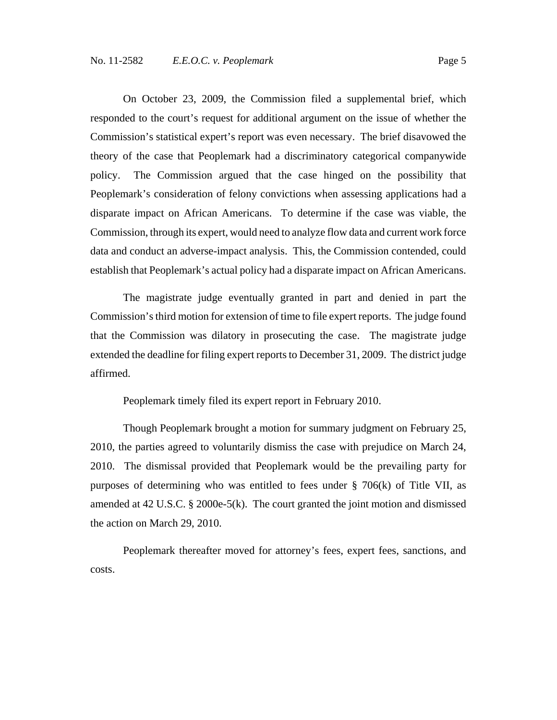On October 23, 2009, the Commission filed a supplemental brief, which responded to the court's request for additional argument on the issue of whether the Commission's statistical expert's report was even necessary. The brief disavowed the theory of the case that Peoplemark had a discriminatory categorical companywide policy. The Commission argued that the case hinged on the possibility that Peoplemark's consideration of felony convictions when assessing applications had a disparate impact on African Americans. To determine if the case was viable, the Commission, through its expert, would need to analyze flow data and current work force data and conduct an adverse-impact analysis. This, the Commission contended, could establish that Peoplemark's actual policy had a disparate impact on African Americans.

The magistrate judge eventually granted in part and denied in part the Commission's third motion for extension of time to file expert reports. The judge found that the Commission was dilatory in prosecuting the case. The magistrate judge extended the deadline for filing expert reports to December 31, 2009. The district judge affirmed.

Peoplemark timely filed its expert report in February 2010.

Though Peoplemark brought a motion for summary judgment on February 25, 2010, the parties agreed to voluntarily dismiss the case with prejudice on March 24, 2010. The dismissal provided that Peoplemark would be the prevailing party for purposes of determining who was entitled to fees under  $\S$  706(k) of Title VII, as amended at 42 U.S.C. § 2000e-5(k). The court granted the joint motion and dismissed the action on March 29, 2010.

Peoplemark thereafter moved for attorney's fees, expert fees, sanctions, and costs.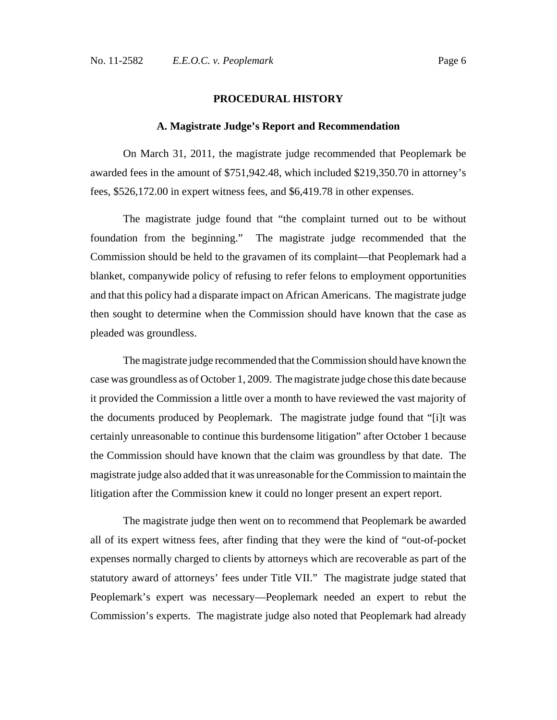### **PROCEDURAL HISTORY**

#### **A. Magistrate Judge's Report and Recommendation**

On March 31, 2011, the magistrate judge recommended that Peoplemark be awarded fees in the amount of \$751,942.48, which included \$219,350.70 in attorney's fees, \$526,172.00 in expert witness fees, and \$6,419.78 in other expenses.

The magistrate judge found that "the complaint turned out to be without foundation from the beginning." The magistrate judge recommended that the Commission should be held to the gravamen of its complaint—that Peoplemark had a blanket, companywide policy of refusing to refer felons to employment opportunities and that this policy had a disparate impact on African Americans. The magistrate judge then sought to determine when the Commission should have known that the case as pleaded was groundless.

The magistrate judge recommended that the Commission should have known the case was groundless as of October 1, 2009. The magistrate judge chose this date because it provided the Commission a little over a month to have reviewed the vast majority of the documents produced by Peoplemark. The magistrate judge found that "[i]t was certainly unreasonable to continue this burdensome litigation" after October 1 because the Commission should have known that the claim was groundless by that date. The magistrate judge also added that it was unreasonable for the Commission to maintain the litigation after the Commission knew it could no longer present an expert report.

The magistrate judge then went on to recommend that Peoplemark be awarded all of its expert witness fees, after finding that they were the kind of "out-of-pocket expenses normally charged to clients by attorneys which are recoverable as part of the statutory award of attorneys' fees under Title VII." The magistrate judge stated that Peoplemark's expert was necessary—Peoplemark needed an expert to rebut the Commission's experts. The magistrate judge also noted that Peoplemark had already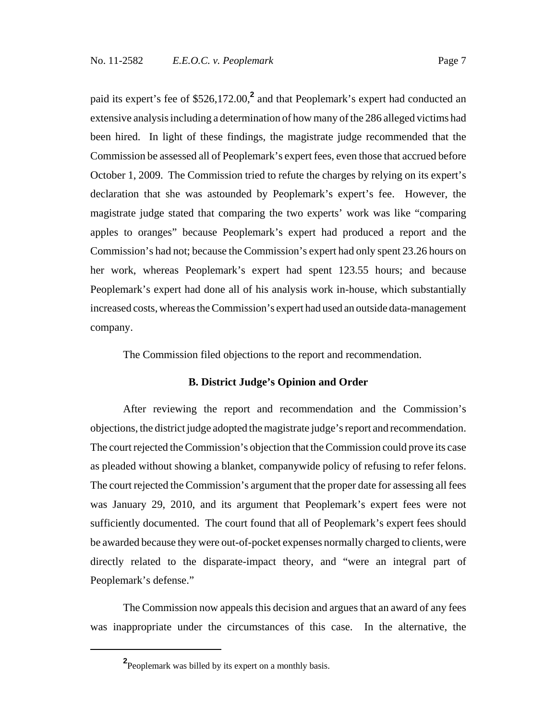paid its expert's fee of \$526,172.00,<sup>2</sup> and that Peoplemark's expert had conducted an extensive analysis including a determination of how many of the 286 alleged victims had been hired. In light of these findings, the magistrate judge recommended that the Commission be assessed all of Peoplemark's expert fees, even those that accrued before October 1, 2009. The Commission tried to refute the charges by relying on its expert's declaration that she was astounded by Peoplemark's expert's fee. However, the magistrate judge stated that comparing the two experts' work was like "comparing apples to oranges" because Peoplemark's expert had produced a report and the Commission's had not; because the Commission's expert had only spent 23.26 hours on her work, whereas Peoplemark's expert had spent 123.55 hours; and because Peoplemark's expert had done all of his analysis work in-house, which substantially increased costs, whereas the Commission's expert had used an outside data-management company.

The Commission filed objections to the report and recommendation.

### **B. District Judge's Opinion and Order**

After reviewing the report and recommendation and the Commission's objections, the district judge adopted the magistrate judge's report and recommendation. The court rejected the Commission's objection that the Commission could prove its case as pleaded without showing a blanket, companywide policy of refusing to refer felons. The court rejected the Commission's argument that the proper date for assessing all fees was January 29, 2010, and its argument that Peoplemark's expert fees were not sufficiently documented. The court found that all of Peoplemark's expert fees should be awarded because they were out-of-pocket expenses normally charged to clients, were directly related to the disparate-impact theory, and "were an integral part of Peoplemark's defense."

The Commission now appeals this decision and argues that an award of any fees was inappropriate under the circumstances of this case. In the alternative, the

**<sup>2</sup>** Peoplemark was billed by its expert on a monthly basis.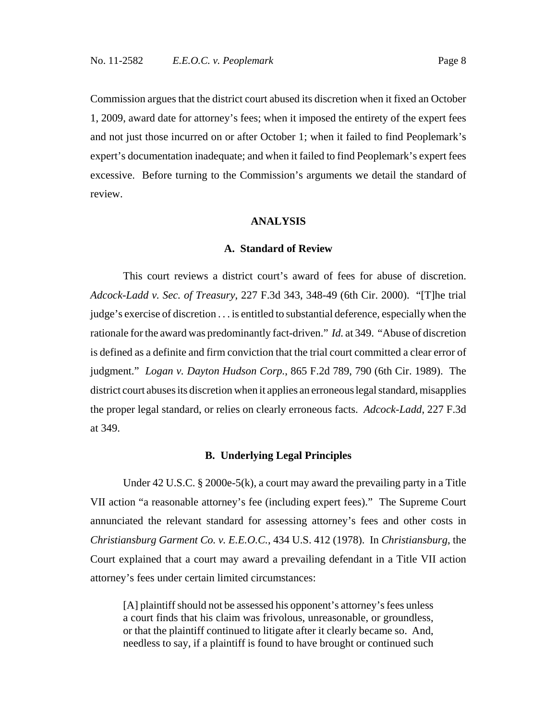Commission argues that the district court abused its discretion when it fixed an October 1, 2009, award date for attorney's fees; when it imposed the entirety of the expert fees and not just those incurred on or after October 1; when it failed to find Peoplemark's expert's documentation inadequate; and when it failed to find Peoplemark's expert fees excessive. Before turning to the Commission's arguments we detail the standard of review.

#### **ANALYSIS**

#### **A. Standard of Review**

This court reviews a district court's award of fees for abuse of discretion. *Adcock-Ladd v. Sec. of Treasury*, 227 F.3d 343, 348-49 (6th Cir. 2000). "[T]he trial judge's exercise of discretion . . . is entitled to substantial deference, especially when the rationale for the award was predominantly fact-driven." *Id.* at 349. "Abuse of discretion is defined as a definite and firm conviction that the trial court committed a clear error of judgment." *Logan v. Dayton Hudson Corp.*, 865 F.2d 789, 790 (6th Cir. 1989). The district court abuses its discretion when it applies an erroneous legal standard, misapplies the proper legal standard, or relies on clearly erroneous facts. *Adcock-Ladd*, 227 F.3d at 349.

#### **B. Underlying Legal Principles**

Under 42 U.S.C. § 2000e-5(k), a court may award the prevailing party in a Title VII action "a reasonable attorney's fee (including expert fees)." The Supreme Court annunciated the relevant standard for assessing attorney's fees and other costs in *Christiansburg Garment Co. v. E.E.O.C.*, 434 U.S. 412 (1978). In *Christiansburg*, the Court explained that a court may award a prevailing defendant in a Title VII action attorney's fees under certain limited circumstances:

[A] plaintiff should not be assessed his opponent's attorney's fees unless a court finds that his claim was frivolous, unreasonable, or groundless, or that the plaintiff continued to litigate after it clearly became so. And, needless to say, if a plaintiff is found to have brought or continued such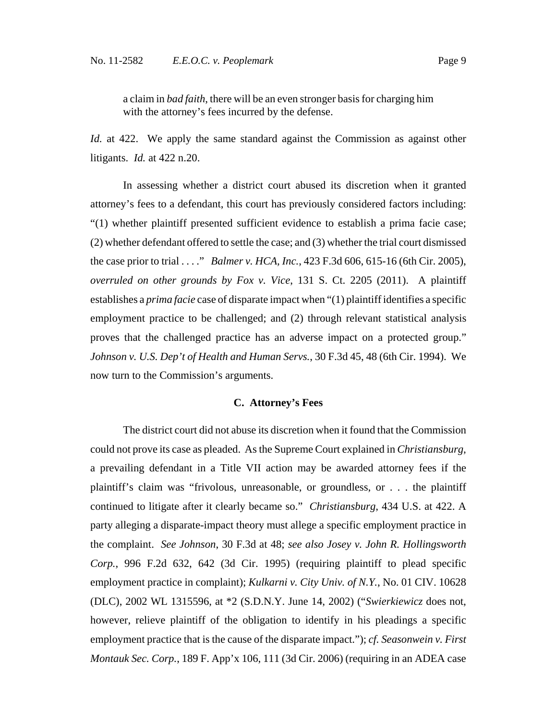a claim in *bad faith*, there will be an even stronger basis for charging him with the attorney's fees incurred by the defense.

*Id.* at 422. We apply the same standard against the Commission as against other litigants. *Id.* at 422 n.20.

In assessing whether a district court abused its discretion when it granted attorney's fees to a defendant, this court has previously considered factors including: "(1) whether plaintiff presented sufficient evidence to establish a prima facie case; (2) whether defendant offered to settle the case; and (3) whether the trial court dismissed the case prior to trial . . . ." *Balmer v. HCA, Inc.*, 423 F.3d 606, 615-16 (6th Cir. 2005), *overruled on other grounds by Fox v. Vice*, 131 S. Ct. 2205 (2011). A plaintiff establishes a *prima facie* case of disparate impact when "(1) plaintiff identifies a specific employment practice to be challenged; and (2) through relevant statistical analysis proves that the challenged practice has an adverse impact on a protected group." *Johnson v. U.S. Dep't of Health and Human Servs.*, 30 F.3d 45, 48 (6th Cir. 1994). We now turn to the Commission's arguments.

### **C. Attorney's Fees**

The district court did not abuse its discretion when it found that the Commission could not prove its case as pleaded. As the Supreme Court explained in *Christiansburg*, a prevailing defendant in a Title VII action may be awarded attorney fees if the plaintiff's claim was "frivolous, unreasonable, or groundless, or . . . the plaintiff continued to litigate after it clearly became so." *Christiansburg*, 434 U.S. at 422. A party alleging a disparate-impact theory must allege a specific employment practice in the complaint. *See Johnson*, 30 F.3d at 48; *see also Josey v. John R. Hollingsworth Corp.*, 996 F.2d 632, 642 (3d Cir. 1995) (requiring plaintiff to plead specific employment practice in complaint); *Kulkarni v. City Univ. of N.Y.*, No. 01 CIV. 10628 (DLC), 2002 WL 1315596, at \*2 (S.D.N.Y. June 14, 2002) ("*Swierkiewicz* does not, however, relieve plaintiff of the obligation to identify in his pleadings a specific employment practice that is the cause of the disparate impact."); *cf. Seasonwein v. First Montauk Sec. Corp.*, 189 F. App'x 106, 111 (3d Cir. 2006) (requiring in an ADEA case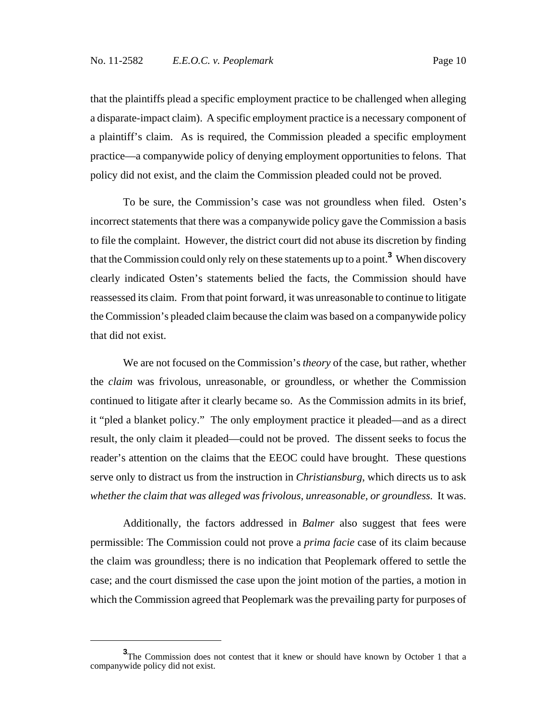that the plaintiffs plead a specific employment practice to be challenged when alleging a disparate-impact claim). A specific employment practice is a necessary component of a plaintiff's claim. As is required, the Commission pleaded a specific employment practice—a companywide policy of denying employment opportunities to felons. That policy did not exist, and the claim the Commission pleaded could not be proved.

To be sure, the Commission's case was not groundless when filed. Osten's incorrect statements that there was a companywide policy gave the Commission a basis to file the complaint. However, the district court did not abuse its discretion by finding that the Commission could only rely on these statements up to a point.**<sup>3</sup>** When discovery clearly indicated Osten's statements belied the facts, the Commission should have reassessed its claim. From that point forward, it was unreasonable to continue to litigate the Commission's pleaded claim because the claim was based on a companywide policy that did not exist.

We are not focused on the Commission's *theory* of the case, but rather, whether the *claim* was frivolous, unreasonable, or groundless, or whether the Commission continued to litigate after it clearly became so. As the Commission admits in its brief, it "pled a blanket policy." The only employment practice it pleaded—and as a direct result, the only claim it pleaded—could not be proved. The dissent seeks to focus the reader's attention on the claims that the EEOC could have brought. These questions serve only to distract us from the instruction in *Christiansburg*, which directs us to ask *whether the claim that was alleged was frivolous, unreasonable, or groundless.* It was.

Additionally, the factors addressed in *Balmer* also suggest that fees were permissible: The Commission could not prove a *prima facie* case of its claim because the claim was groundless; there is no indication that Peoplemark offered to settle the case; and the court dismissed the case upon the joint motion of the parties, a motion in which the Commission agreed that Peoplemark was the prevailing party for purposes of

**<sup>3</sup>** The Commission does not contest that it knew or should have known by October 1 that a companywide policy did not exist.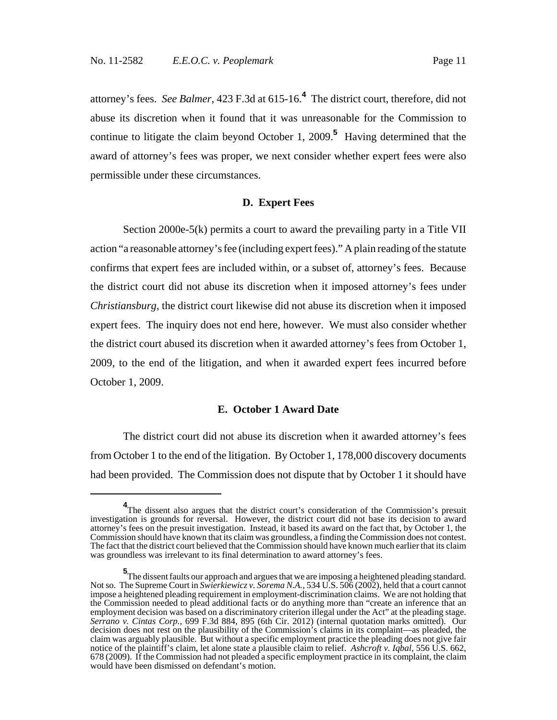attorney's fees. *See Balmer*, 423 F.3d at 615-16.**<sup>4</sup>** The district court, therefore, did not abuse its discretion when it found that it was unreasonable for the Commission to continue to litigate the claim beyond October 1, 2009.**<sup>5</sup>** Having determined that the award of attorney's fees was proper, we next consider whether expert fees were also permissible under these circumstances.

### **D. Expert Fees**

Section 2000e-5(k) permits a court to award the prevailing party in a Title VII action "a reasonable attorney's fee (including expert fees)." A plain reading of the statute confirms that expert fees are included within, or a subset of, attorney's fees. Because the district court did not abuse its discretion when it imposed attorney's fees under *Christiansburg*, the district court likewise did not abuse its discretion when it imposed expert fees. The inquiry does not end here, however. We must also consider whether the district court abused its discretion when it awarded attorney's fees from October 1, 2009, to the end of the litigation, and when it awarded expert fees incurred before October 1, 2009.

#### **E. October 1 Award Date**

The district court did not abuse its discretion when it awarded attorney's fees from October 1 to the end of the litigation. By October 1, 178,000 discovery documents had been provided. The Commission does not dispute that by October 1 it should have

<sup>&</sup>lt;sup>4</sup>The dissent also argues that the district court's consideration of the Commission's presuit investigation is grounds for reversal. However, the district court did not base its decision to award attorney's fees on the presuit investigation. Instead, it based its award on the fact that, by October 1, the Commission should have known that its claim was groundless, a finding the Commission does not contest. The fact that the district court believed that the Commission should have known much earlier that its claim was groundless was irrelevant to its final determination to award attorney's fees.

**<sup>5</sup>**<br>The dissent faults our approach and argues that we are imposing a heightened pleading standard. Not so. The Supreme Court in *Swierkiewicz v. Sorema N.A.*, 534 U.S. 506 (2002), held that a court cannot impose a heightened pleading requirement in employment-discrimination claims. We are not holding that the Commission needed to plead additional facts or do anything more than "create an inference that an employment decision was based on a discriminatory criterion illegal under the Act" at the pleading stage. *Serrano v. Cintas Corp.*, 699 F.3d 884, 895 (6th Cir. 2012) (internal quotation marks omitted). Our decision does not rest on the plausibility of the Commission's claims in its complaint—as pleaded, the claim was arguably plausible. But without a specific employment practice the pleading does not give fair notice of the plaintiff's claim, let alone state a plausible claim to relief. *Ashcroft v. Iqbal*, 556 U.S. 662, 678 (2009). If the Commission had not pleaded a specific employment practice in its complaint, the claim would have been dismissed on defendant's motion.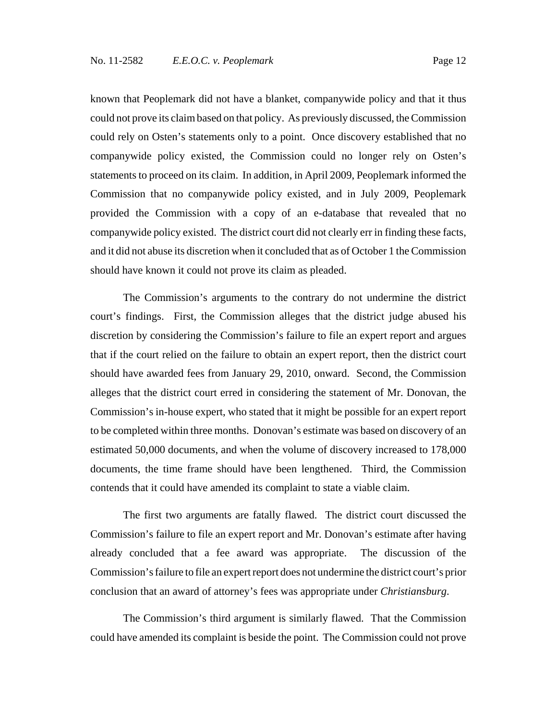known that Peoplemark did not have a blanket, companywide policy and that it thus could not prove its claim based on that policy. As previously discussed, the Commission could rely on Osten's statements only to a point. Once discovery established that no companywide policy existed, the Commission could no longer rely on Osten's statements to proceed on its claim. In addition, in April 2009, Peoplemark informed the Commission that no companywide policy existed, and in July 2009, Peoplemark provided the Commission with a copy of an e-database that revealed that no companywide policy existed. The district court did not clearly err in finding these facts, and it did not abuse its discretion when it concluded that as of October 1 the Commission should have known it could not prove its claim as pleaded.

The Commission's arguments to the contrary do not undermine the district court's findings. First, the Commission alleges that the district judge abused his discretion by considering the Commission's failure to file an expert report and argues that if the court relied on the failure to obtain an expert report, then the district court should have awarded fees from January 29, 2010, onward. Second, the Commission alleges that the district court erred in considering the statement of Mr. Donovan, the Commission's in-house expert, who stated that it might be possible for an expert report to be completed within three months. Donovan's estimate was based on discovery of an estimated 50,000 documents, and when the volume of discovery increased to 178,000 documents, the time frame should have been lengthened. Third, the Commission contends that it could have amended its complaint to state a viable claim.

The first two arguments are fatally flawed. The district court discussed the Commission's failure to file an expert report and Mr. Donovan's estimate after having already concluded that a fee award was appropriate. The discussion of the Commission's failure to file an expert report does not undermine the district court's prior conclusion that an award of attorney's fees was appropriate under *Christiansburg*.

The Commission's third argument is similarly flawed. That the Commission could have amended its complaint is beside the point. The Commission could not prove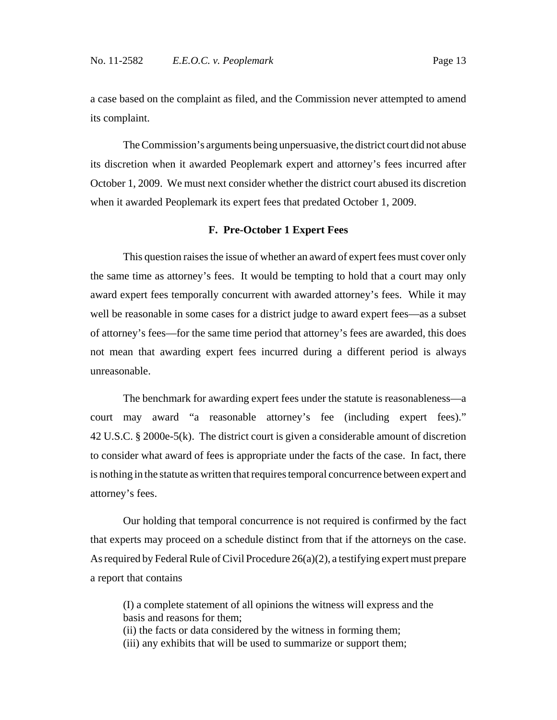a case based on the complaint as filed, and the Commission never attempted to amend its complaint.

The Commission's arguments being unpersuasive, the district court did not abuse its discretion when it awarded Peoplemark expert and attorney's fees incurred after October 1, 2009. We must next consider whether the district court abused its discretion when it awarded Peoplemark its expert fees that predated October 1, 2009.

#### **F. Pre-October 1 Expert Fees**

This question raises the issue of whether an award of expert fees must cover only the same time as attorney's fees. It would be tempting to hold that a court may only award expert fees temporally concurrent with awarded attorney's fees. While it may well be reasonable in some cases for a district judge to award expert fees—as a subset of attorney's fees—for the same time period that attorney's fees are awarded, this does not mean that awarding expert fees incurred during a different period is always unreasonable.

The benchmark for awarding expert fees under the statute is reasonableness—a court may award "a reasonable attorney's fee (including expert fees)." 42 U.S.C. § 2000e-5(k). The district court is given a considerable amount of discretion to consider what award of fees is appropriate under the facts of the case. In fact, there is nothing in the statute as written that requires temporal concurrence between expert and attorney's fees.

Our holding that temporal concurrence is not required is confirmed by the fact that experts may proceed on a schedule distinct from that if the attorneys on the case. As required by Federal Rule of Civil Procedure 26(a)(2), a testifying expert must prepare a report that contains

(I) a complete statement of all opinions the witness will express and the basis and reasons for them;

(ii) the facts or data considered by the witness in forming them;

(iii) any exhibits that will be used to summarize or support them;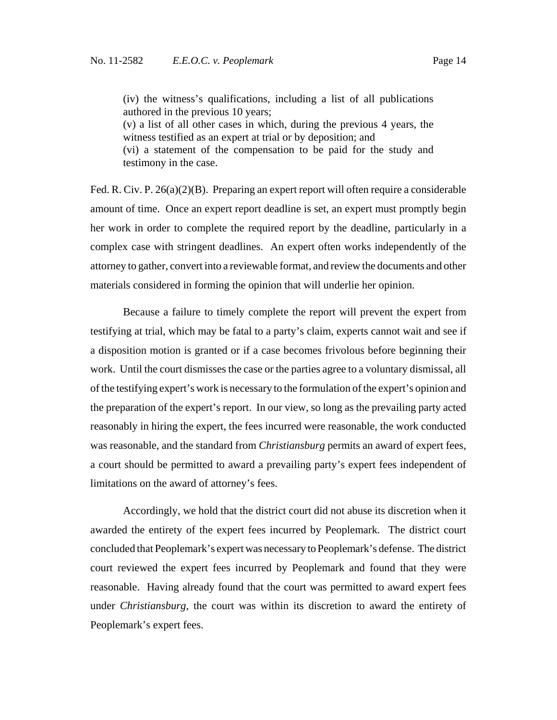(iv) the witness's qualifications, including a list of all publications authored in the previous 10 years;

(v) a list of all other cases in which, during the previous 4 years, the witness testified as an expert at trial or by deposition; and (vi) a statement of the compensation to be paid for the study and testimony in the case.

Fed. R. Civ. P. 26(a)(2)(B). Preparing an expert report will often require a considerable amount of time. Once an expert report deadline is set, an expert must promptly begin her work in order to complete the required report by the deadline, particularly in a complex case with stringent deadlines. An expert often works independently of the attorney to gather, convert into a reviewable format, and review the documents and other materials considered in forming the opinion that will underlie her opinion.

Because a failure to timely complete the report will prevent the expert from testifying at trial, which may be fatal to a party's claim, experts cannot wait and see if a disposition motion is granted or if a case becomes frivolous before beginning their work. Until the court dismisses the case or the parties agree to a voluntary dismissal, all of the testifying expert's work is necessary to the formulation of the expert's opinion and the preparation of the expert's report. In our view, so long as the prevailing party acted reasonably in hiring the expert, the fees incurred were reasonable, the work conducted was reasonable, and the standard from *Christiansburg* permits an award of expert fees, a court should be permitted to award a prevailing party's expert fees independent of limitations on the award of attorney's fees.

Accordingly, we hold that the district court did not abuse its discretion when it awarded the entirety of the expert fees incurred by Peoplemark. The district court concluded that Peoplemark's expert was necessary to Peoplemark's defense. The district court reviewed the expert fees incurred by Peoplemark and found that they were reasonable. Having already found that the court was permitted to award expert fees under *Christiansburg*, the court was within its discretion to award the entirety of Peoplemark's expert fees.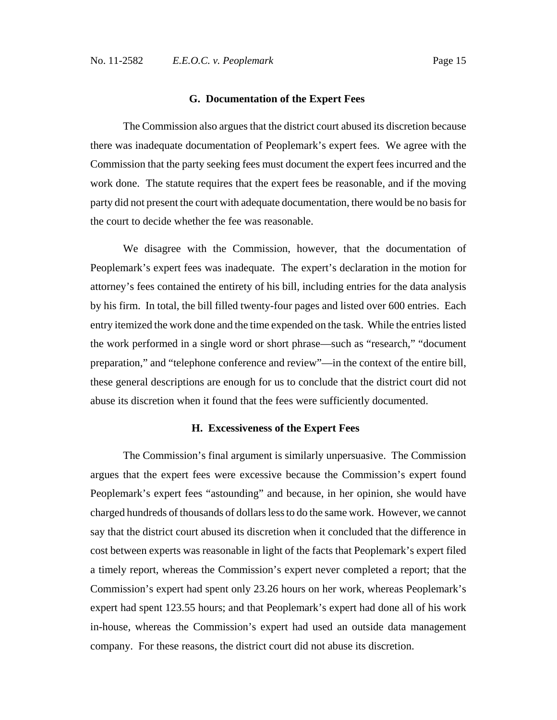#### **G. Documentation of the Expert Fees**

The Commission also argues that the district court abused its discretion because there was inadequate documentation of Peoplemark's expert fees. We agree with the Commission that the party seeking fees must document the expert fees incurred and the work done. The statute requires that the expert fees be reasonable, and if the moving party did not present the court with adequate documentation, there would be no basis for the court to decide whether the fee was reasonable.

We disagree with the Commission, however, that the documentation of Peoplemark's expert fees was inadequate. The expert's declaration in the motion for attorney's fees contained the entirety of his bill, including entries for the data analysis by his firm. In total, the bill filled twenty-four pages and listed over 600 entries. Each entry itemized the work done and the time expended on the task. While the entries listed the work performed in a single word or short phrase—such as "research," "document preparation," and "telephone conference and review"—in the context of the entire bill, these general descriptions are enough for us to conclude that the district court did not abuse its discretion when it found that the fees were sufficiently documented.

#### **H. Excessiveness of the Expert Fees**

The Commission's final argument is similarly unpersuasive. The Commission argues that the expert fees were excessive because the Commission's expert found Peoplemark's expert fees "astounding" and because, in her opinion, she would have charged hundreds of thousands of dollars less to do the same work. However, we cannot say that the district court abused its discretion when it concluded that the difference in cost between experts was reasonable in light of the facts that Peoplemark's expert filed a timely report, whereas the Commission's expert never completed a report; that the Commission's expert had spent only 23.26 hours on her work, whereas Peoplemark's expert had spent 123.55 hours; and that Peoplemark's expert had done all of his work in-house, whereas the Commission's expert had used an outside data management company. For these reasons, the district court did not abuse its discretion.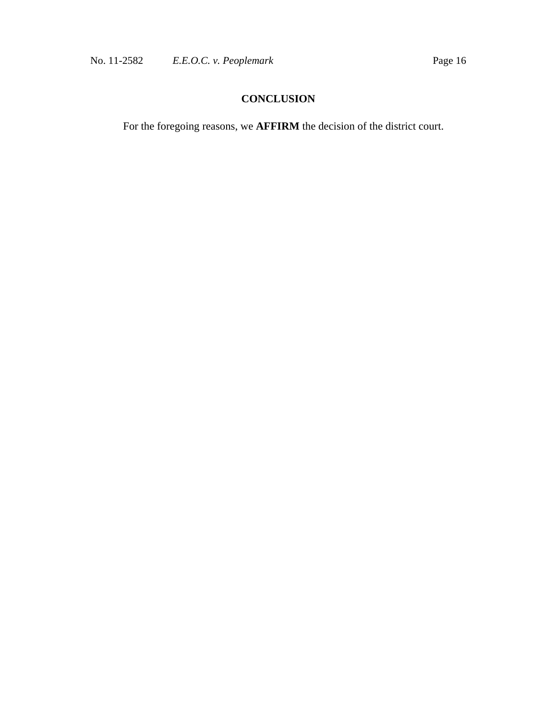# **CONCLUSION**

For the foregoing reasons, we **AFFIRM** the decision of the district court.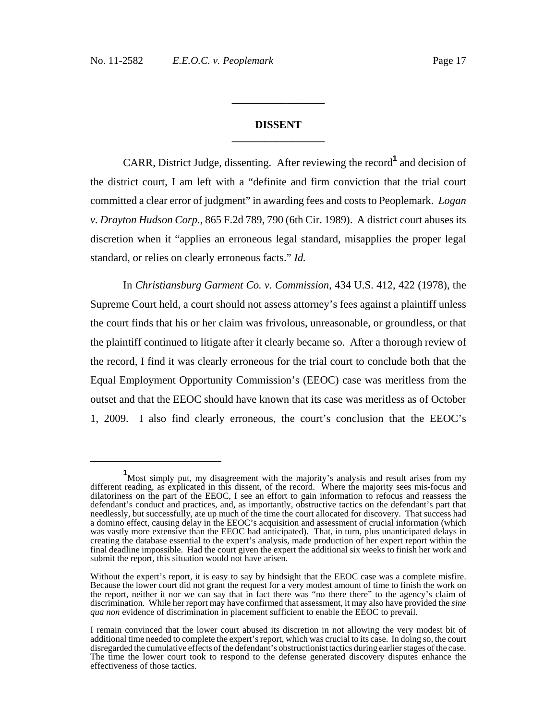### **DISSENT \_\_\_\_\_\_\_\_\_\_\_\_\_\_\_\_\_**

**\_\_\_\_\_\_\_\_\_\_\_\_\_\_\_\_\_**

CARR, District Judge, dissenting. After reviewing the record**<sup>1</sup>** and decision of the district court, I am left with a "definite and firm conviction that the trial court committed a clear error of judgment" in awarding fees and costs to Peoplemark. *Logan v. Drayton Hudson Corp*., 865 F.2d 789, 790 (6th Cir. 1989). A district court abuses its discretion when it "applies an erroneous legal standard, misapplies the proper legal standard, or relies on clearly erroneous facts." *Id.*

In *Christiansburg Garment Co. v. Commission*, 434 U.S. 412, 422 (1978), the Supreme Court held, a court should not assess attorney's fees against a plaintiff unless the court finds that his or her claim was frivolous, unreasonable, or groundless, or that the plaintiff continued to litigate after it clearly became so. After a thorough review of the record, I find it was clearly erroneous for the trial court to conclude both that the Equal Employment Opportunity Commission's (EEOC) case was meritless from the outset and that the EEOC should have known that its case was meritless as of October 1, 2009. I also find clearly erroneous, the court's conclusion that the EEOC's

**<sup>1</sup>** Most simply put, my disagreement with the majority's analysis and result arises from my different reading, as explicated in this dissent, of the record. Where the majority sees mis-focus and dilatoriness on the part of the EEOC, I see an effort to gain information to refocus and reassess the defendant's conduct and practices, and, as importantly, obstructive tactics on the defendant's part that needlessly, but successfully, ate up much of the time the court allocated for discovery. That success had a domino effect, causing delay in the EEOC's acquisition and assessment of crucial information (which was vastly more extensive than the EEOC had anticipated). That, in turn, plus unanticipated delays in creating the database essential to the expert's analysis, made production of her expert report within the final deadline impossible. Had the court given the expert the additional six weeks to finish her work and submit the report, this situation would not have arisen.

Without the expert's report, it is easy to say by hindsight that the EEOC case was a complete misfire. Because the lower court did not grant the request for a very modest amount of time to finish the work on the report, neither it nor we can say that in fact there was "no there there" to the agency's claim of discrimination. While her report may have confirmed that assessment, it may also have provided the *sine qua non* evidence of discrimination in placement sufficient to enable the EEOC to prevail.

I remain convinced that the lower court abused its discretion in not allowing the very modest bit of additional time needed to complete the expert's report, which was crucial to its case. In doing so, the court disregarded the cumulative effects of the defendant's obstructionist tactics during earlier stages of the case. The time the lower court took to respond to the defense generated discovery disputes enhance the effectiveness of those tactics.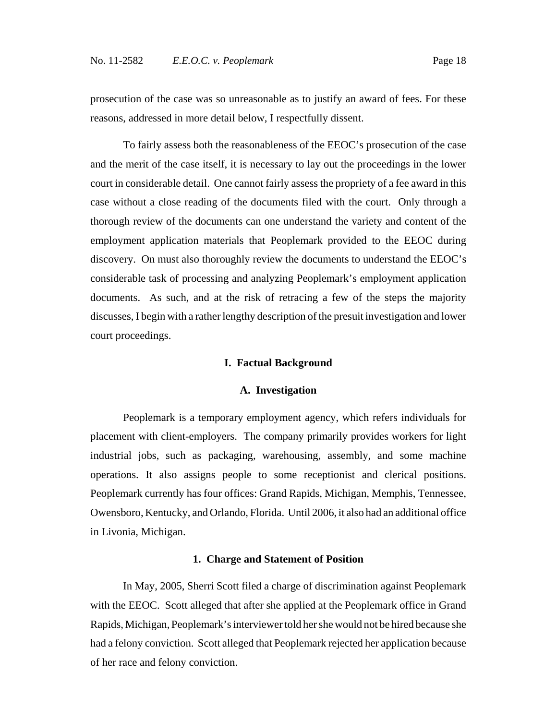prosecution of the case was so unreasonable as to justify an award of fees. For these reasons, addressed in more detail below, I respectfully dissent.

To fairly assess both the reasonableness of the EEOC's prosecution of the case and the merit of the case itself, it is necessary to lay out the proceedings in the lower court in considerable detail. One cannot fairly assess the propriety of a fee award in this case without a close reading of the documents filed with the court. Only through a thorough review of the documents can one understand the variety and content of the employment application materials that Peoplemark provided to the EEOC during discovery. On must also thoroughly review the documents to understand the EEOC's considerable task of processing and analyzing Peoplemark's employment application documents. As such, and at the risk of retracing a few of the steps the majority discusses, I begin with a rather lengthy description of the presuit investigation and lower court proceedings.

#### **I. Factual Background**

#### **A. Investigation**

Peoplemark is a temporary employment agency, which refers individuals for placement with client-employers. The company primarily provides workers for light industrial jobs, such as packaging, warehousing, assembly, and some machine operations. It also assigns people to some receptionist and clerical positions. Peoplemark currently has four offices: Grand Rapids, Michigan, Memphis, Tennessee, Owensboro, Kentucky, and Orlando, Florida. Until 2006, it also had an additional office in Livonia, Michigan.

#### **1. Charge and Statement of Position**

In May, 2005, Sherri Scott filed a charge of discrimination against Peoplemark with the EEOC. Scott alleged that after she applied at the Peoplemark office in Grand Rapids, Michigan, Peoplemark's interviewer told her she would not be hired because she had a felony conviction. Scott alleged that Peoplemark rejected her application because of her race and felony conviction.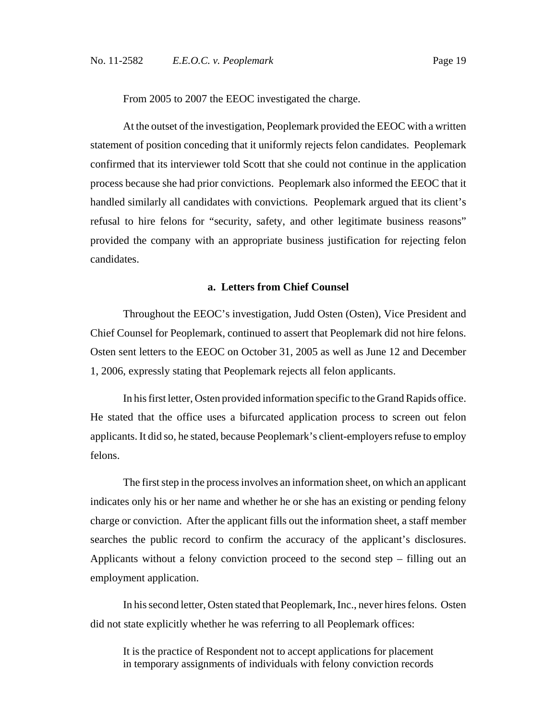From 2005 to 2007 the EEOC investigated the charge.

At the outset of the investigation, Peoplemark provided the EEOC with a written statement of position conceding that it uniformly rejects felon candidates. Peoplemark confirmed that its interviewer told Scott that she could not continue in the application process because she had prior convictions. Peoplemark also informed the EEOC that it handled similarly all candidates with convictions. Peoplemark argued that its client's refusal to hire felons for "security, safety, and other legitimate business reasons" provided the company with an appropriate business justification for rejecting felon candidates.

### **a. Letters from Chief Counsel**

Throughout the EEOC's investigation, Judd Osten (Osten), Vice President and Chief Counsel for Peoplemark, continued to assert that Peoplemark did not hire felons. Osten sent letters to the EEOC on October 31, 2005 as well as June 12 and December 1, 2006, expressly stating that Peoplemark rejects all felon applicants.

In his first letter, Osten provided information specific to the Grand Rapids office. He stated that the office uses a bifurcated application process to screen out felon applicants. It did so, he stated, because Peoplemark's client-employers refuse to employ felons.

The first step in the process involves an information sheet, on which an applicant indicates only his or her name and whether he or she has an existing or pending felony charge or conviction. After the applicant fills out the information sheet, a staff member searches the public record to confirm the accuracy of the applicant's disclosures. Applicants without a felony conviction proceed to the second step – filling out an employment application.

In his second letter, Osten stated that Peoplemark, Inc., never hires felons. Osten did not state explicitly whether he was referring to all Peoplemark offices:

It is the practice of Respondent not to accept applications for placement in temporary assignments of individuals with felony conviction records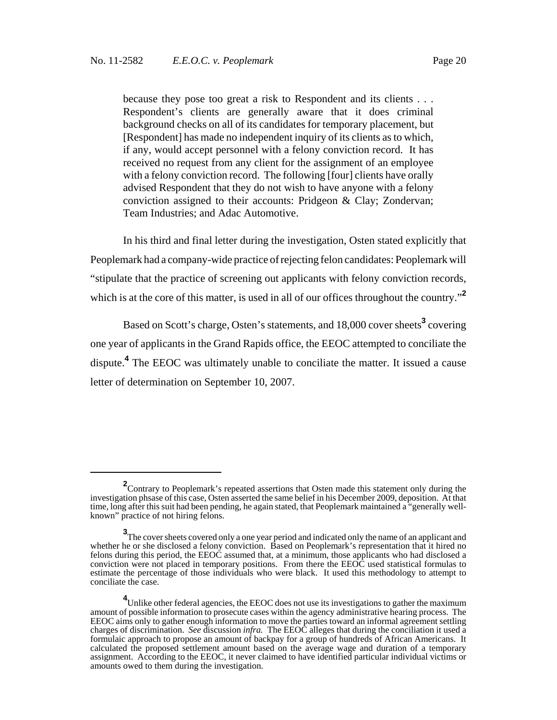because they pose too great a risk to Respondent and its clients . . . Respondent's clients are generally aware that it does criminal background checks on all of its candidates for temporary placement, but [Respondent] has made no independent inquiry of its clients as to which, if any, would accept personnel with a felony conviction record. It has received no request from any client for the assignment of an employee with a felony conviction record. The following [four] clients have orally advised Respondent that they do not wish to have anyone with a felony conviction assigned to their accounts: Pridgeon & Clay; Zondervan; Team Industries; and Adac Automotive.

In his third and final letter during the investigation, Osten stated explicitly that Peoplemark had a company-wide practice of rejecting felon candidates: Peoplemark will "stipulate that the practice of screening out applicants with felony conviction records, which is at the core of this matter, is used in all of our offices throughout the country.<sup>"2</sup>

Based on Scott's charge, Osten's statements, and 18,000 cover sheets<sup>3</sup> covering one year of applicants in the Grand Rapids office, the EEOC attempted to conciliate the dispute.**<sup>4</sup>** The EEOC was ultimately unable to conciliate the matter. It issued a cause letter of determination on September 10, 2007.

<sup>&</sup>lt;sup>2</sup> Contrary to Peoplemark's repeated assertions that Osten made this statement only during the investigation phsase of this case, Osten asserted the same belief in his December 2009, deposition. At that time, long after this suit had been pending, he again stated, that Peoplemark maintained a "generally wellknown" practice of not hiring felons.

**<sup>3</sup>** The cover sheets covered only a one year period and indicated only the name of an applicant and whether he or she disclosed a felony conviction. Based on Peoplemark's representation that it hired no felons during this period, the EEOC assumed that, at a minimum, those applicants who had disclosed a conviction were not placed in temporary positions. From there the EEOC used statistical formulas to estimate the percentage of those individuals who were black. It used this methodology to attempt to conciliate the case.

**<sup>4</sup>** Unlike other federal agencies, the EEOC does not use its investigations to gather the maximum amount of possible information to prosecute cases within the agency administrative hearing process. The EEOC aims only to gather enough information to move the parties toward an informal agreement settling charges of discrimination. *See* discussion *infra.* The EEOC alleges that during the conciliation it used a formulaic approach to propose an amount of backpay for a group of hundreds of African Americans. It calculated the proposed settlement amount based on the average wage and duration of a temporary assignment. According to the EEOC, it never claimed to have identified particular individual victims or amounts owed to them during the investigation.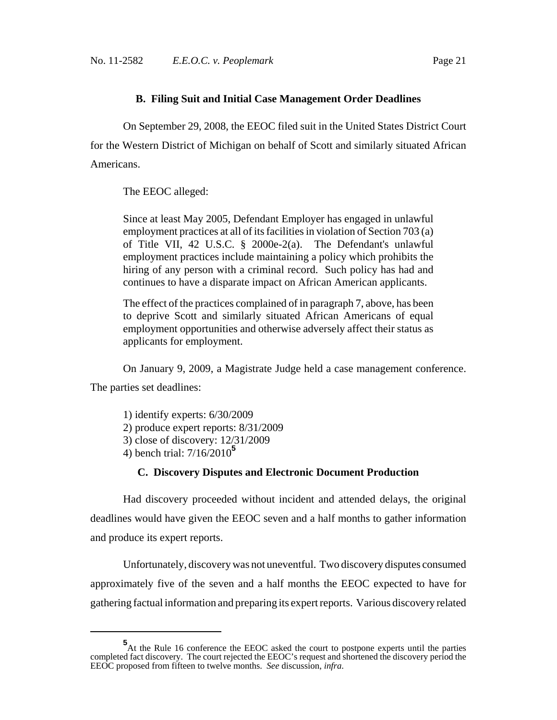### **B. Filing Suit and Initial Case Management Order Deadlines**

On September 29, 2008, the EEOC filed suit in the United States District Court for the Western District of Michigan on behalf of Scott and similarly situated African Americans.

The EEOC alleged:

Since at least May 2005, Defendant Employer has engaged in unlawful employment practices at all of its facilities in violation of Section 703 (a) of Title VII, 42 U.S.C. § 2000e-2(a). The Defendant's unlawful employment practices include maintaining a policy which prohibits the hiring of any person with a criminal record. Such policy has had and continues to have a disparate impact on African American applicants.

The effect of the practices complained of in paragraph 7, above, has been to deprive Scott and similarly situated African Americans of equal employment opportunities and otherwise adversely affect their status as applicants for employment.

On January 9, 2009, a Magistrate Judge held a case management conference.

The parties set deadlines:

1) identify experts: 6/30/2009 2) produce expert reports: 8/31/2009 3) close of discovery: 12/31/2009 4) bench trial: 7/16/2010**<sup>5</sup>**

### **C. Discovery Disputes and Electronic Document Production**

Had discovery proceeded without incident and attended delays, the original deadlines would have given the EEOC seven and a half months to gather information and produce its expert reports.

Unfortunately, discovery was not uneventful. Two discovery disputes consumed approximately five of the seven and a half months the EEOC expected to have for gathering factual information and preparing its expert reports. Various discovery related

**<sup>5</sup>** At the Rule 16 conference the EEOC asked the court to postpone experts until the parties completed fact discovery. The court rejected the EEOC's request and shortened the discovery period the EEOC proposed from fifteen to twelve months. *See* discussion, *infra*.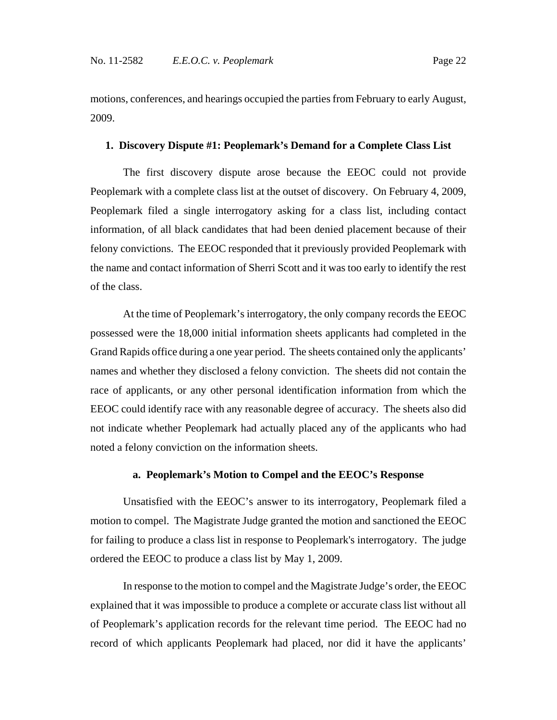motions, conferences, and hearings occupied the parties from February to early August, 2009.

### **1. Discovery Dispute #1: Peoplemark's Demand for a Complete Class List**

The first discovery dispute arose because the EEOC could not provide Peoplemark with a complete class list at the outset of discovery. On February 4, 2009, Peoplemark filed a single interrogatory asking for a class list, including contact information, of all black candidates that had been denied placement because of their felony convictions. The EEOC responded that it previously provided Peoplemark with the name and contact information of Sherri Scott and it was too early to identify the rest of the class.

At the time of Peoplemark's interrogatory, the only company records the EEOC possessed were the 18,000 initial information sheets applicants had completed in the Grand Rapids office during a one year period. The sheets contained only the applicants' names and whether they disclosed a felony conviction. The sheets did not contain the race of applicants, or any other personal identification information from which the EEOC could identify race with any reasonable degree of accuracy. The sheets also did not indicate whether Peoplemark had actually placed any of the applicants who had noted a felony conviction on the information sheets.

### **a. Peoplemark's Motion to Compel and the EEOC's Response**

Unsatisfied with the EEOC's answer to its interrogatory, Peoplemark filed a motion to compel. The Magistrate Judge granted the motion and sanctioned the EEOC for failing to produce a class list in response to Peoplemark's interrogatory. The judge ordered the EEOC to produce a class list by May 1, 2009.

In response to the motion to compel and the Magistrate Judge's order, the EEOC explained that it was impossible to produce a complete or accurate class list without all of Peoplemark's application records for the relevant time period. The EEOC had no record of which applicants Peoplemark had placed, nor did it have the applicants'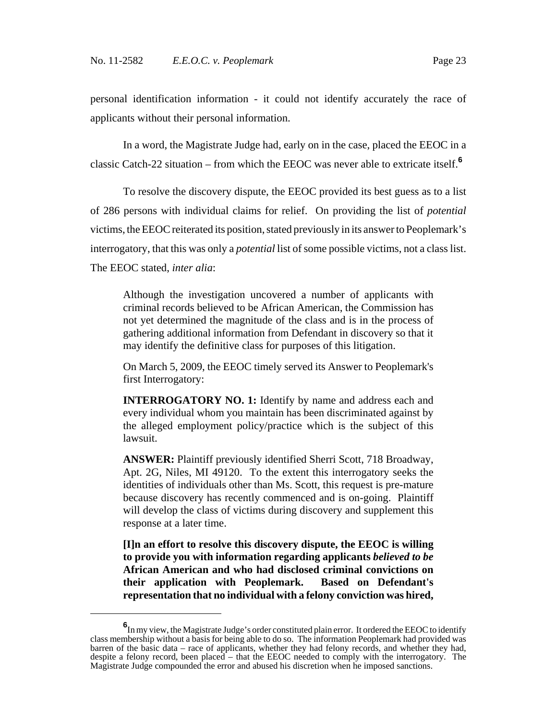personal identification information - it could not identify accurately the race of applicants without their personal information.

In a word, the Magistrate Judge had, early on in the case, placed the EEOC in a classic Catch-22 situation – from which the EEOC was never able to extricate itself.**<sup>6</sup>**

To resolve the discovery dispute, the EEOC provided its best guess as to a list of 286 persons with individual claims for relief. On providing the list of *potential* victims, the EEOC reiterated its position, stated previously in its answer to Peoplemark's interrogatory, that this was only a *potential* list of some possible victims, not a class list. The EEOC stated, *inter alia*:

Although the investigation uncovered a number of applicants with criminal records believed to be African American, the Commission has not yet determined the magnitude of the class and is in the process of gathering additional information from Defendant in discovery so that it may identify the definitive class for purposes of this litigation.

On March 5, 2009, the EEOC timely served its Answer to Peoplemark's first Interrogatory:

**INTERROGATORY NO. 1:** Identify by name and address each and every individual whom you maintain has been discriminated against by the alleged employment policy/practice which is the subject of this lawsuit.

**ANSWER:** Plaintiff previously identified Sherri Scott, 718 Broadway, Apt. 2G, Niles, MI 49120. To the extent this interrogatory seeks the identities of individuals other than Ms. Scott, this request is pre-mature because discovery has recently commenced and is on-going. Plaintiff will develop the class of victims during discovery and supplement this response at a later time.

**[I]n an effort to resolve this discovery dispute, the EEOC is willing to provide you with information regarding applicants** *believed to be* **African American and who had disclosed criminal convictions on their application with Peoplemark. Based on Defendant's representation that no individual with a felony conviction was hired,**

**<sup>6</sup>** In my view, the Magistrate Judge's order constituted plain error. It ordered the EEOC to identify class membership without a basis for being able to do so. The information Peoplemark had provided was barren of the basic data – race of applicants, whether they had felony records, and whether they had, despite a felony record, been placed – that the EEOC needed to comply with the interrogatory. The Magistrate Judge compounded the error and abused his discretion when he imposed sanctions.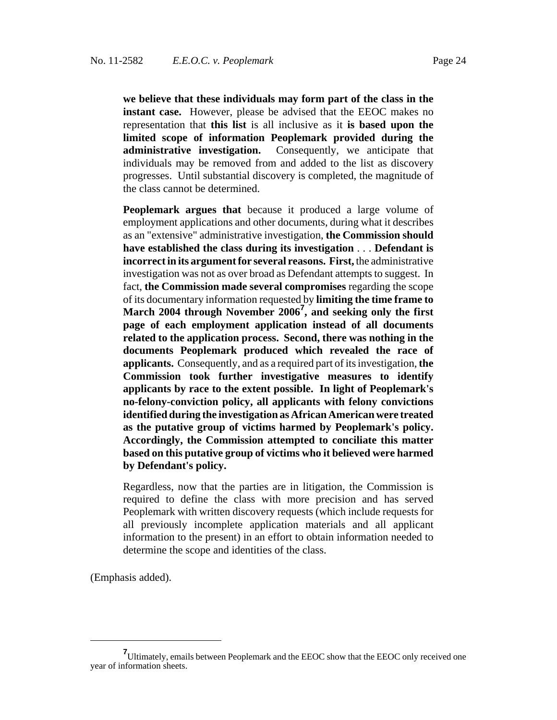**we believe that these individuals may form part of the class in the instant case.** However, please be advised that the EEOC makes no representation that **this list** is all inclusive as it **is based upon the limited scope of information Peoplemark provided during the administrative investigation.** Consequently, we anticipate that individuals may be removed from and added to the list as discovery progresses. Until substantial discovery is completed, the magnitude of the class cannot be determined.

**Peoplemark argues that** because it produced a large volume of employment applications and other documents, during what it describes as an "extensive" administrative investigation, **the Commission should have established the class during its investigation** . . . **Defendant is incorrect in its argument for several reasons. First,** the administrative investigation was not as over broad as Defendant attempts to suggest. In fact, **the Commission made several compromises** regarding the scope of its documentary information requested by **limiting the time frame to March 2004 through November 2006<sup>7</sup> , and seeking only the first page of each employment application instead of all documents related to the application process. Second, there was nothing in the documents Peoplemark produced which revealed the race of applicants.** Consequently, and as a required part of its investigation, **the Commission took further investigative measures to identify applicants by race to the extent possible. In light of Peoplemark's no-felony-conviction policy, all applicants with felony convictions identified during the investigation as African American were treated as the putative group of victims harmed by Peoplemark's policy. Accordingly, the Commission attempted to conciliate this matter based on this putative group of victims who it believed were harmed by Defendant's policy.**

Regardless, now that the parties are in litigation, the Commission is required to define the class with more precision and has served Peoplemark with written discovery requests (which include requests for all previously incomplete application materials and all applicant information to the present) in an effort to obtain information needed to determine the scope and identities of the class.

(Emphasis added).

**<sup>7</sup>** Ultimately, emails between Peoplemark and the EEOC show that the EEOC only received one year of information sheets.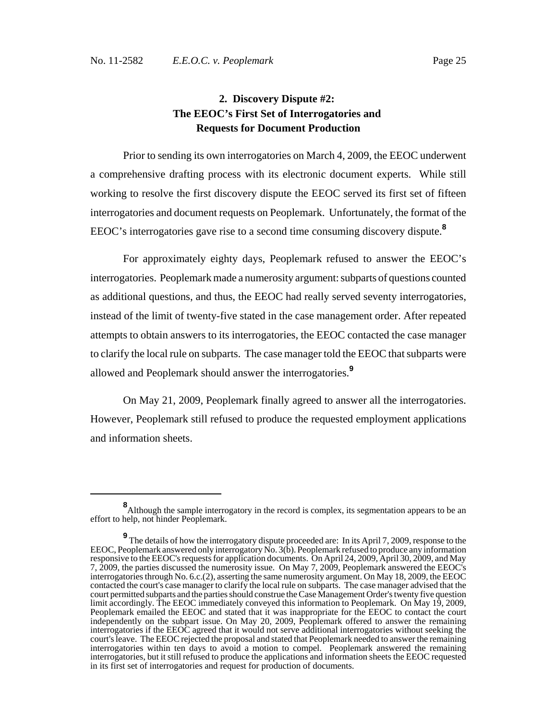## **2. Discovery Dispute #2: The EEOC's First Set of Interrogatories and Requests for Document Production**

Prior to sending its own interrogatories on March 4, 2009, the EEOC underwent a comprehensive drafting process with its electronic document experts. While still working to resolve the first discovery dispute the EEOC served its first set of fifteen interrogatories and document requests on Peoplemark. Unfortunately, the format of the EEOC's interrogatories gave rise to a second time consuming discovery dispute.**<sup>8</sup>**

For approximately eighty days, Peoplemark refused to answer the EEOC's interrogatories. Peoplemark made a numerosity argument: subparts of questions counted as additional questions, and thus, the EEOC had really served seventy interrogatories, instead of the limit of twenty-five stated in the case management order. After repeated attempts to obtain answers to its interrogatories, the EEOC contacted the case manager to clarify the local rule on subparts. The case manager told the EEOC that subparts were allowed and Peoplemark should answer the interrogatories.**<sup>9</sup>**

On May 21, 2009, Peoplemark finally agreed to answer all the interrogatories. However, Peoplemark still refused to produce the requested employment applications and information sheets.

**<sup>8</sup>** Although the sample interrogatory in the record is complex, its segmentation appears to be an effort to help, not hinder Peoplemark.

**<sup>9</sup>** The details of how the interrogatory dispute proceeded are: In its April 7, 2009, response to the EEOC, Peoplemark answered only interrogatory No. 3(b). Peoplemark refused to produce any information responsive to the EEOC's requests for application documents. On April 24, 2009, April 30, 2009, and May 7, 2009, the parties discussed the numerosity issue. On May 7, 2009, Peoplemark answered the EEOC's interrogatories through No. 6.c.(2), asserting the same numerosity argument. On May 18, 2009, the EEOC contacted the court's case manager to clarify the local rule on subparts. The case manager advised that the court permitted subparts and the parties should construe the Case Management Order's twenty five question limit accordingly. The EEOC immediately conveyed this information to Peoplemark. On May 19, 2009, Peoplemark emailed the EEOC and stated that it was inappropriate for the EEOC to contact the court independently on the subpart issue. On May 20, 2009, Peoplemark offered to answer the remaining interrogatories if the EEOC agreed that it would not serve additional interrogatories without seeking the court's leave. The EEOC rejected the proposal and stated that Peoplemark needed to answer the remaining interrogatories within ten days to avoid a motion to compel. Peoplemark answered the remaining interrogatories, but it still refused to produce the applications and information sheets the EEOC requested in its first set of interrogatories and request for production of documents.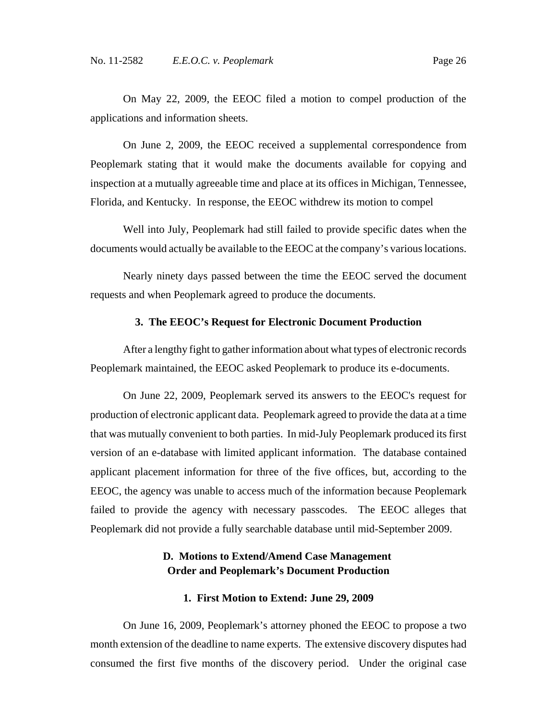On May 22, 2009, the EEOC filed a motion to compel production of the applications and information sheets.

On June 2, 2009, the EEOC received a supplemental correspondence from Peoplemark stating that it would make the documents available for copying and inspection at a mutually agreeable time and place at its offices in Michigan, Tennessee, Florida, and Kentucky. In response, the EEOC withdrew its motion to compel

Well into July, Peoplemark had still failed to provide specific dates when the documents would actually be available to the EEOC at the company's various locations.

Nearly ninety days passed between the time the EEOC served the document requests and when Peoplemark agreed to produce the documents.

### **3. The EEOC's Request for Electronic Document Production**

After a lengthy fight to gather information about what types of electronic records Peoplemark maintained, the EEOC asked Peoplemark to produce its e-documents.

On June 22, 2009, Peoplemark served its answers to the EEOC's request for production of electronic applicant data. Peoplemark agreed to provide the data at a time that was mutually convenient to both parties. In mid-July Peoplemark produced its first version of an e-database with limited applicant information. The database contained applicant placement information for three of the five offices, but, according to the EEOC, the agency was unable to access much of the information because Peoplemark failed to provide the agency with necessary passcodes. The EEOC alleges that Peoplemark did not provide a fully searchable database until mid-September 2009.

### **D. Motions to Extend/Amend Case Management Order and Peoplemark's Document Production**

#### **1. First Motion to Extend: June 29, 2009**

On June 16, 2009, Peoplemark's attorney phoned the EEOC to propose a two month extension of the deadline to name experts. The extensive discovery disputes had consumed the first five months of the discovery period. Under the original case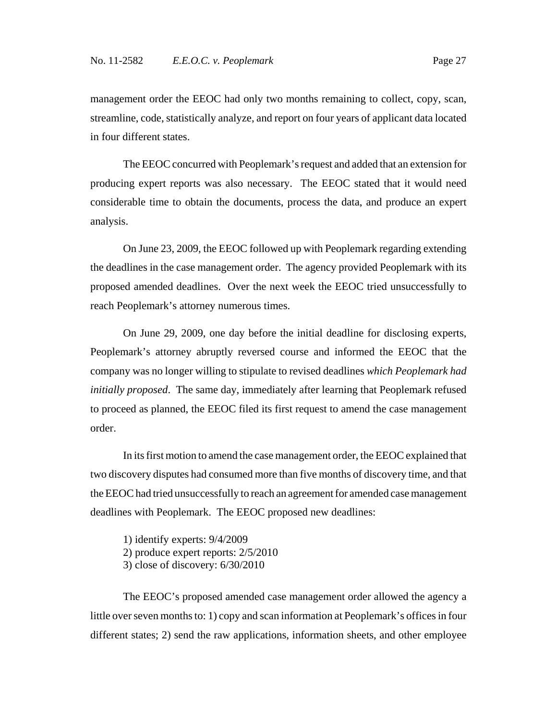management order the EEOC had only two months remaining to collect, copy, scan, streamline, code, statistically analyze, and report on four years of applicant data located in four different states.

The EEOC concurred with Peoplemark's request and added that an extension for producing expert reports was also necessary. The EEOC stated that it would need considerable time to obtain the documents, process the data, and produce an expert analysis.

On June 23, 2009, the EEOC followed up with Peoplemark regarding extending the deadlines in the case management order. The agency provided Peoplemark with its proposed amended deadlines. Over the next week the EEOC tried unsuccessfully to reach Peoplemark's attorney numerous times.

On June 29, 2009, one day before the initial deadline for disclosing experts, Peoplemark's attorney abruptly reversed course and informed the EEOC that the company was no longer willing to stipulate to revised deadlines *which Peoplemark had initially proposed*. The same day, immediately after learning that Peoplemark refused to proceed as planned, the EEOC filed its first request to amend the case management order.

In its first motion to amend the case management order, the EEOC explained that two discovery disputes had consumed more than five months of discovery time, and that the EEOC had tried unsuccessfully to reach an agreement for amended case management deadlines with Peoplemark. The EEOC proposed new deadlines:

1) identify experts: 9/4/2009 2) produce expert reports: 2/5/2010 3) close of discovery: 6/30/2010

The EEOC's proposed amended case management order allowed the agency a little over seven months to: 1) copy and scan information at Peoplemark's offices in four different states; 2) send the raw applications, information sheets, and other employee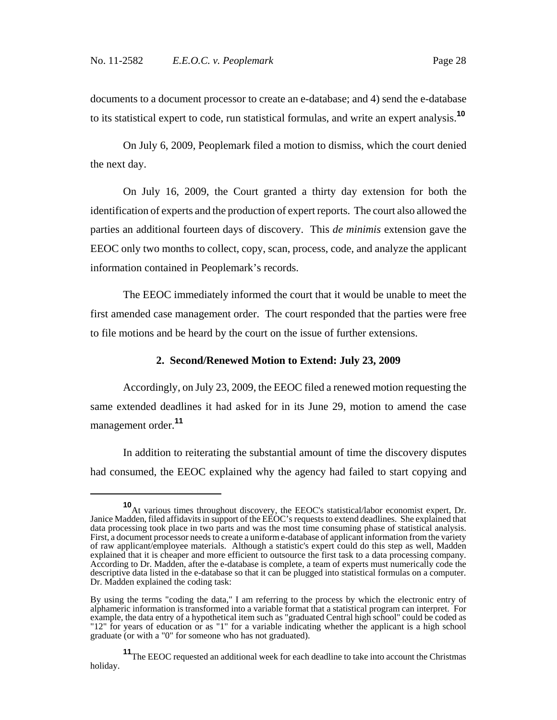documents to a document processor to create an e-database; and 4) send the e-database to its statistical expert to code, run statistical formulas, and write an expert analysis.**<sup>10</sup>**

On July 6, 2009, Peoplemark filed a motion to dismiss, which the court denied the next day.

On July 16, 2009, the Court granted a thirty day extension for both the identification of experts and the production of expert reports. The court also allowed the parties an additional fourteen days of discovery. This *de minimis* extension gave the EEOC only two months to collect, copy, scan, process, code, and analyze the applicant information contained in Peoplemark's records.

The EEOC immediately informed the court that it would be unable to meet the first amended case management order. The court responded that the parties were free to file motions and be heard by the court on the issue of further extensions.

### **2. Second/Renewed Motion to Extend: July 23, 2009**

Accordingly, on July 23, 2009, the EEOC filed a renewed motion requesting the same extended deadlines it had asked for in its June 29, motion to amend the case management order.**<sup>11</sup>**

In addition to reiterating the substantial amount of time the discovery disputes had consumed, the EEOC explained why the agency had failed to start copying and

**<sup>10</sup>**At various times throughout discovery, the EEOC's statistical/labor economist expert, Dr. Janice Madden, filed affidavits in support of the EEOC's requests to extend deadlines. She explained that data processing took place in two parts and was the most time consuming phase of statistical analysis. First, a document processor needs to create a uniform e-database of applicant information from the variety of raw applicant/employee materials. Although a statistic's expert could do this step as well, Madden explained that it is cheaper and more efficient to outsource the first task to a data processing company. According to Dr. Madden, after the e-database is complete, a team of experts must numerically code the descriptive data listed in the e-database so that it can be plugged into statistical formulas on a computer. Dr. Madden explained the coding task:

By using the terms "coding the data," I am referring to the process by which the electronic entry of alphameric information is transformed into a variable format that a statistical program can interpret. For example, the data entry of a hypothetical item such as "graduated Central high school" could be coded as "12" for years of education or as "1" for a variable indicating whether the applicant is a high school graduate (or with a "0" for someone who has not graduated).

**<sup>11</sup>**The EEOC requested an additional week for each deadline to take into account the Christmas holiday.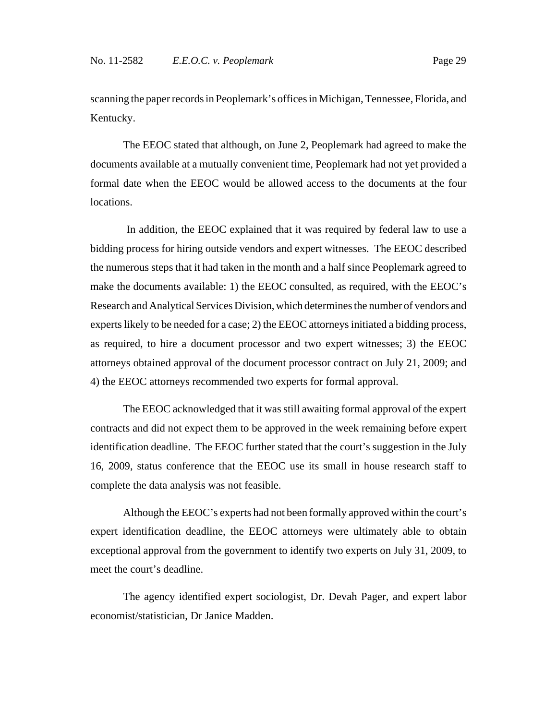scanning the paper records in Peoplemark's offices in Michigan, Tennessee, Florida, and Kentucky.

The EEOC stated that although, on June 2, Peoplemark had agreed to make the documents available at a mutually convenient time, Peoplemark had not yet provided a formal date when the EEOC would be allowed access to the documents at the four locations.

 In addition, the EEOC explained that it was required by federal law to use a bidding process for hiring outside vendors and expert witnesses. The EEOC described the numerous steps that it had taken in the month and a half since Peoplemark agreed to make the documents available: 1) the EEOC consulted, as required, with the EEOC's Research and Analytical Services Division, which determines the number of vendors and experts likely to be needed for a case; 2) the EEOC attorneys initiated a bidding process, as required, to hire a document processor and two expert witnesses; 3) the EEOC attorneys obtained approval of the document processor contract on July 21, 2009; and 4) the EEOC attorneys recommended two experts for formal approval.

The EEOC acknowledged that it was still awaiting formal approval of the expert contracts and did not expect them to be approved in the week remaining before expert identification deadline. The EEOC further stated that the court's suggestion in the July 16, 2009, status conference that the EEOC use its small in house research staff to complete the data analysis was not feasible.

Although the EEOC's experts had not been formally approved within the court's expert identification deadline, the EEOC attorneys were ultimately able to obtain exceptional approval from the government to identify two experts on July 31, 2009, to meet the court's deadline.

The agency identified expert sociologist, Dr. Devah Pager, and expert labor economist/statistician, Dr Janice Madden.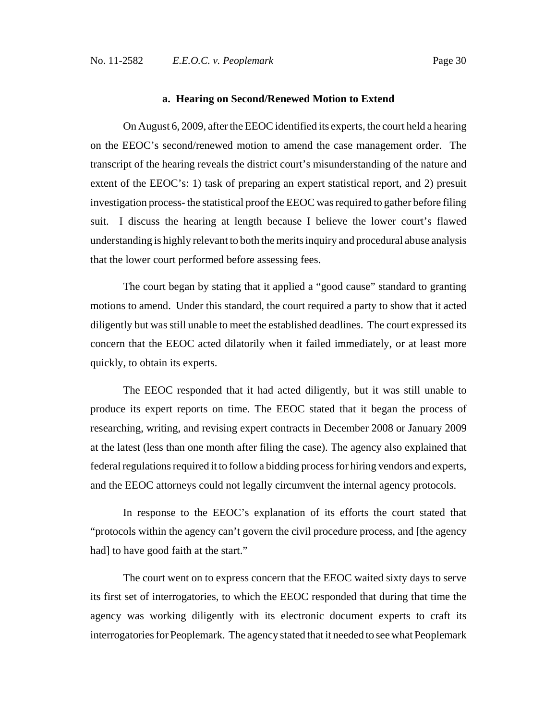### **a. Hearing on Second/Renewed Motion to Extend**

On August 6, 2009, after the EEOC identified its experts, the court held a hearing on the EEOC's second/renewed motion to amend the case management order. The transcript of the hearing reveals the district court's misunderstanding of the nature and extent of the EEOC's: 1) task of preparing an expert statistical report, and 2) presuit investigation process- the statistical proof the EEOC was required to gather before filing suit. I discuss the hearing at length because I believe the lower court's flawed understanding is highly relevant to both the merits inquiry and procedural abuse analysis that the lower court performed before assessing fees.

The court began by stating that it applied a "good cause" standard to granting motions to amend. Under this standard, the court required a party to show that it acted diligently but was still unable to meet the established deadlines. The court expressed its concern that the EEOC acted dilatorily when it failed immediately, or at least more quickly, to obtain its experts.

The EEOC responded that it had acted diligently, but it was still unable to produce its expert reports on time. The EEOC stated that it began the process of researching, writing, and revising expert contracts in December 2008 or January 2009 at the latest (less than one month after filing the case). The agency also explained that federal regulations required it to follow a bidding process for hiring vendors and experts, and the EEOC attorneys could not legally circumvent the internal agency protocols.

In response to the EEOC's explanation of its efforts the court stated that "protocols within the agency can't govern the civil procedure process, and [the agency had] to have good faith at the start."

The court went on to express concern that the EEOC waited sixty days to serve its first set of interrogatories, to which the EEOC responded that during that time the agency was working diligently with its electronic document experts to craft its interrogatories for Peoplemark. The agency stated that it needed to see what Peoplemark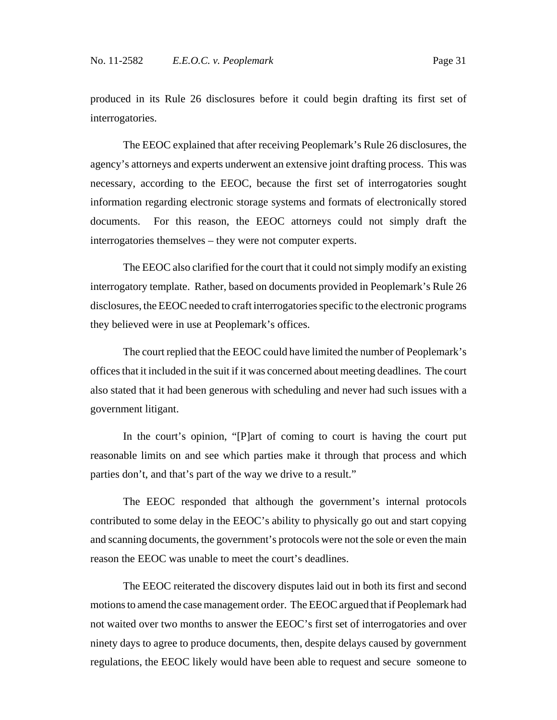The EEOC explained that after receiving Peoplemark's Rule 26 disclosures, the agency's attorneys and experts underwent an extensive joint drafting process. This was necessary, according to the EEOC, because the first set of interrogatories sought information regarding electronic storage systems and formats of electronically stored documents. For this reason, the EEOC attorneys could not simply draft the interrogatories themselves – they were not computer experts.

The EEOC also clarified for the court that it could not simply modify an existing interrogatory template. Rather, based on documents provided in Peoplemark's Rule 26 disclosures, the EEOC needed to craft interrogatories specific to the electronic programs they believed were in use at Peoplemark's offices.

The court replied that the EEOC could have limited the number of Peoplemark's offices that it included in the suit if it was concerned about meeting deadlines. The court also stated that it had been generous with scheduling and never had such issues with a government litigant.

In the court's opinion, "[P]art of coming to court is having the court put reasonable limits on and see which parties make it through that process and which parties don't, and that's part of the way we drive to a result."

The EEOC responded that although the government's internal protocols contributed to some delay in the EEOC's ability to physically go out and start copying and scanning documents, the government's protocols were not the sole or even the main reason the EEOC was unable to meet the court's deadlines.

The EEOC reiterated the discovery disputes laid out in both its first and second motions to amend the case management order. The EEOC argued that if Peoplemark had not waited over two months to answer the EEOC's first set of interrogatories and over ninety days to agree to produce documents, then, despite delays caused by government regulations, the EEOC likely would have been able to request and secure someone to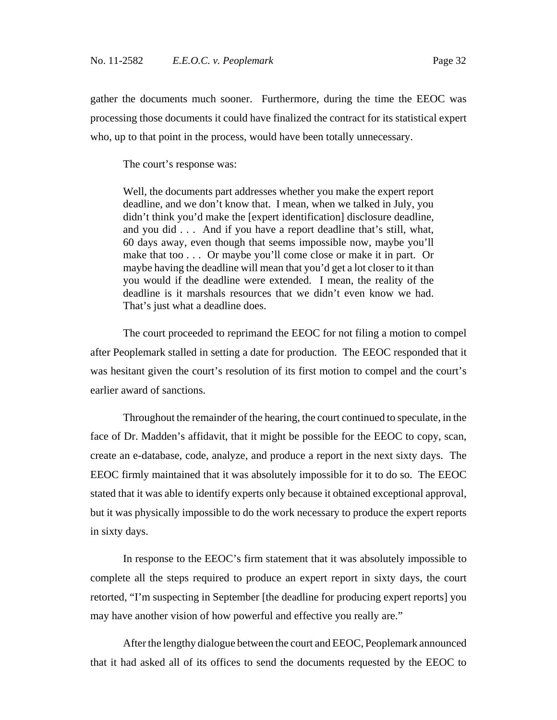gather the documents much sooner. Furthermore, during the time the EEOC was processing those documents it could have finalized the contract for its statistical expert who, up to that point in the process, would have been totally unnecessary.

The court's response was:

Well, the documents part addresses whether you make the expert report deadline, and we don't know that. I mean, when we talked in July, you didn't think you'd make the [expert identification] disclosure deadline, and you did . . . And if you have a report deadline that's still, what, 60 days away, even though that seems impossible now, maybe you'll make that too . . . Or maybe you'll come close or make it in part. Or maybe having the deadline will mean that you'd get a lot closer to it than you would if the deadline were extended. I mean, the reality of the deadline is it marshals resources that we didn't even know we had. That's just what a deadline does.

The court proceeded to reprimand the EEOC for not filing a motion to compel after Peoplemark stalled in setting a date for production. The EEOC responded that it was hesitant given the court's resolution of its first motion to compel and the court's earlier award of sanctions.

Throughout the remainder of the hearing, the court continued to speculate, in the face of Dr. Madden's affidavit, that it might be possible for the EEOC to copy, scan, create an e-database, code, analyze, and produce a report in the next sixty days. The EEOC firmly maintained that it was absolutely impossible for it to do so. The EEOC stated that it was able to identify experts only because it obtained exceptional approval, but it was physically impossible to do the work necessary to produce the expert reports in sixty days.

In response to the EEOC's firm statement that it was absolutely impossible to complete all the steps required to produce an expert report in sixty days, the court retorted, "I'm suspecting in September [the deadline for producing expert reports] you may have another vision of how powerful and effective you really are."

After the lengthy dialogue between the court and EEOC, Peoplemark announced that it had asked all of its offices to send the documents requested by the EEOC to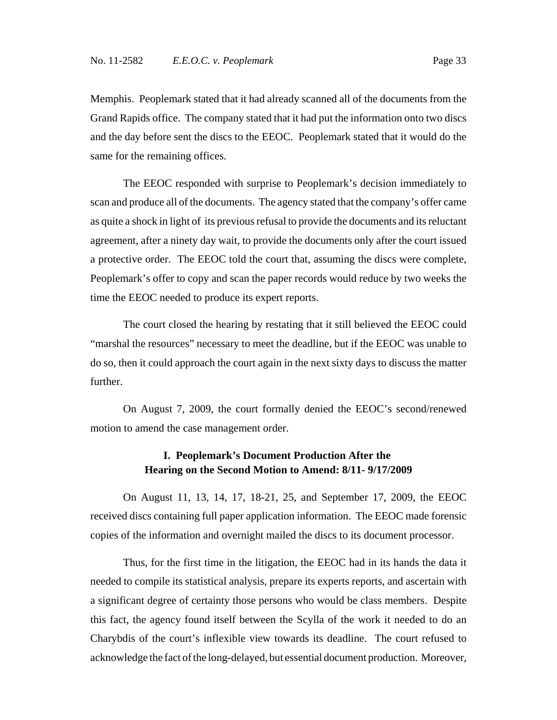Memphis. Peoplemark stated that it had already scanned all of the documents from the Grand Rapids office. The company stated that it had put the information onto two discs and the day before sent the discs to the EEOC. Peoplemark stated that it would do the same for the remaining offices.

The EEOC responded with surprise to Peoplemark's decision immediately to scan and produce all of the documents. The agency stated that the company's offer came as quite a shock in light of its previous refusal to provide the documents and its reluctant agreement, after a ninety day wait, to provide the documents only after the court issued a protective order. The EEOC told the court that, assuming the discs were complete, Peoplemark's offer to copy and scan the paper records would reduce by two weeks the time the EEOC needed to produce its expert reports.

The court closed the hearing by restating that it still believed the EEOC could "marshal the resources" necessary to meet the deadline, but if the EEOC was unable to do so, then it could approach the court again in the next sixty days to discuss the matter further.

On August 7, 2009, the court formally denied the EEOC's second/renewed motion to amend the case management order.

## **I. Peoplemark's Document Production After the Hearing on the Second Motion to Amend: 8/11- 9/17/2009**

On August 11, 13, 14, 17, 18-21, 25, and September 17, 2009, the EEOC received discs containing full paper application information. The EEOC made forensic copies of the information and overnight mailed the discs to its document processor.

Thus, for the first time in the litigation, the EEOC had in its hands the data it needed to compile its statistical analysis, prepare its experts reports, and ascertain with a significant degree of certainty those persons who would be class members. Despite this fact, the agency found itself between the Scylla of the work it needed to do an Charybdis of the court's inflexible view towards its deadline. The court refused to acknowledge the fact of the long-delayed, but essential document production. Moreover,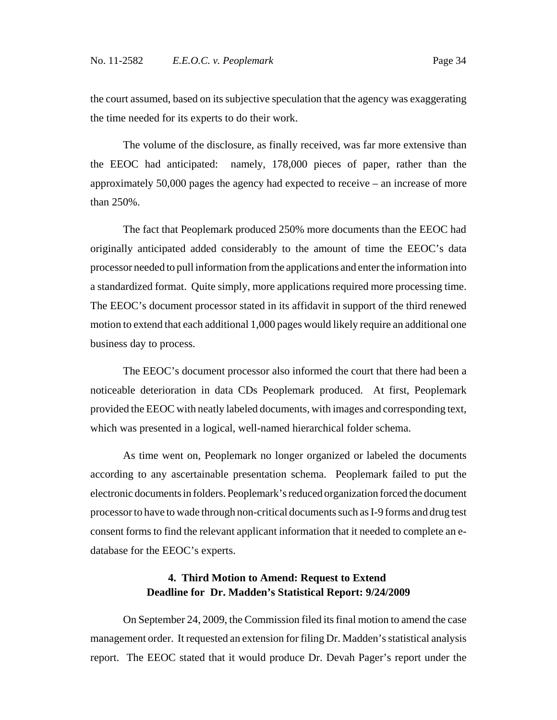the court assumed, based on its subjective speculation that the agency was exaggerating the time needed for its experts to do their work.

The volume of the disclosure, as finally received, was far more extensive than the EEOC had anticipated: namely, 178,000 pieces of paper, rather than the approximately 50,000 pages the agency had expected to receive – an increase of more than 250%.

The fact that Peoplemark produced 250% more documents than the EEOC had originally anticipated added considerably to the amount of time the EEOC's data processor needed to pull information from the applications and enter the information into a standardized format. Quite simply, more applications required more processing time. The EEOC's document processor stated in its affidavit in support of the third renewed motion to extend that each additional 1,000 pages would likely require an additional one business day to process.

The EEOC's document processor also informed the court that there had been a noticeable deterioration in data CDs Peoplemark produced. At first, Peoplemark provided the EEOC with neatly labeled documents, with images and corresponding text, which was presented in a logical, well-named hierarchical folder schema.

As time went on, Peoplemark no longer organized or labeled the documents according to any ascertainable presentation schema. Peoplemark failed to put the electronic documents in folders. Peoplemark's reduced organization forced the document processor to have to wade through non-critical documents such as I-9 forms and drug test consent forms to find the relevant applicant information that it needed to complete an edatabase for the EEOC's experts.

### **4. Third Motion to Amend: Request to Extend Deadline for Dr. Madden's Statistical Report: 9/24/2009**

On September 24, 2009, the Commission filed its final motion to amend the case management order. It requested an extension for filing Dr. Madden's statistical analysis report. The EEOC stated that it would produce Dr. Devah Pager's report under the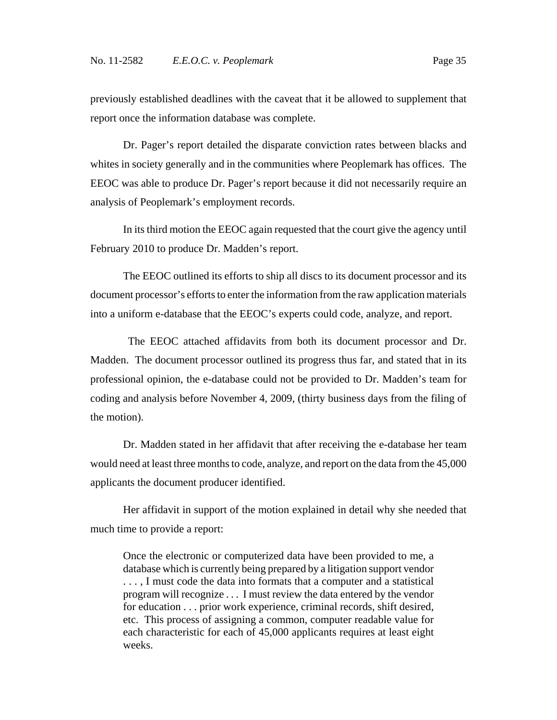previously established deadlines with the caveat that it be allowed to supplement that report once the information database was complete.

Dr. Pager's report detailed the disparate conviction rates between blacks and whites in society generally and in the communities where Peoplemark has offices. The EEOC was able to produce Dr. Pager's report because it did not necessarily require an analysis of Peoplemark's employment records.

In its third motion the EEOC again requested that the court give the agency until February 2010 to produce Dr. Madden's report.

The EEOC outlined its efforts to ship all discs to its document processor and its document processor's efforts to enter the information from the raw application materials into a uniform e-database that the EEOC's experts could code, analyze, and report.

 The EEOC attached affidavits from both its document processor and Dr. Madden. The document processor outlined its progress thus far, and stated that in its professional opinion, the e-database could not be provided to Dr. Madden's team for coding and analysis before November 4, 2009, (thirty business days from the filing of the motion).

Dr. Madden stated in her affidavit that after receiving the e-database her team would need at least three months to code, analyze, and report on the data from the 45,000 applicants the document producer identified.

Her affidavit in support of the motion explained in detail why she needed that much time to provide a report:

Once the electronic or computerized data have been provided to me, a database which is currently being prepared by a litigation support vendor . . . , I must code the data into formats that a computer and a statistical program will recognize . . . I must review the data entered by the vendor for education . . . prior work experience, criminal records, shift desired, etc. This process of assigning a common, computer readable value for each characteristic for each of 45,000 applicants requires at least eight weeks.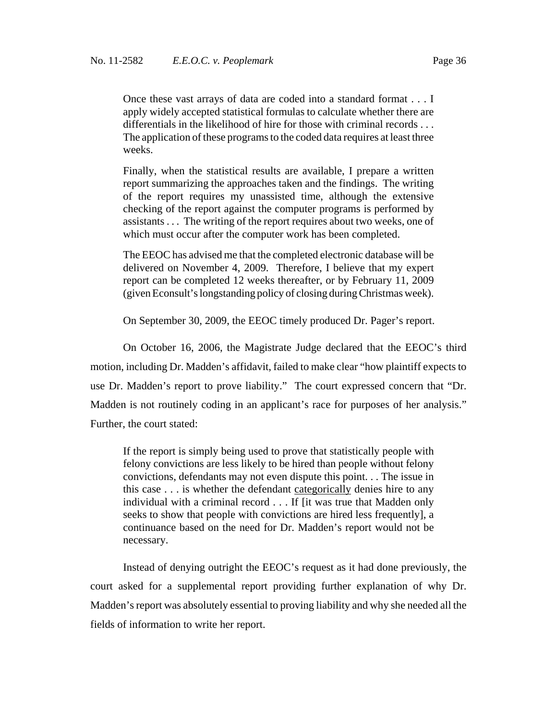Once these vast arrays of data are coded into a standard format . . . I apply widely accepted statistical formulas to calculate whether there are differentials in the likelihood of hire for those with criminal records . . . The application of these programs to the coded data requires at least three weeks.

Finally, when the statistical results are available, I prepare a written report summarizing the approaches taken and the findings. The writing of the report requires my unassisted time, although the extensive checking of the report against the computer programs is performed by assistants . . . The writing of the report requires about two weeks, one of which must occur after the computer work has been completed.

The EEOC has advised me that the completed electronic database will be delivered on November 4, 2009. Therefore, I believe that my expert report can be completed 12 weeks thereafter, or by February 11, 2009 (given Econsult's longstanding policy of closing during Christmas week).

On September 30, 2009, the EEOC timely produced Dr. Pager's report.

On October 16, 2006, the Magistrate Judge declared that the EEOC's third motion, including Dr. Madden's affidavit, failed to make clear "how plaintiff expects to use Dr. Madden's report to prove liability." The court expressed concern that "Dr. Madden is not routinely coding in an applicant's race for purposes of her analysis." Further, the court stated:

If the report is simply being used to prove that statistically people with felony convictions are less likely to be hired than people without felony convictions, defendants may not even dispute this point. . . The issue in this case . . . is whether the defendant categorically denies hire to any individual with a criminal record . . . If [it was true that Madden only seeks to show that people with convictions are hired less frequently], a continuance based on the need for Dr. Madden's report would not be necessary.

Instead of denying outright the EEOC's request as it had done previously, the court asked for a supplemental report providing further explanation of why Dr. Madden's report was absolutely essential to proving liability and why she needed all the fields of information to write her report.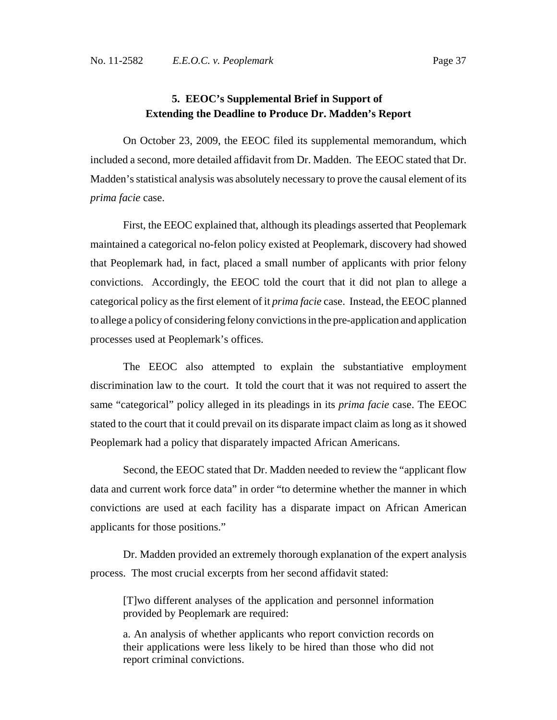## **5. EEOC's Supplemental Brief in Support of Extending the Deadline to Produce Dr. Madden's Report**

On October 23, 2009, the EEOC filed its supplemental memorandum, which included a second, more detailed affidavit from Dr. Madden. The EEOC stated that Dr. Madden's statistical analysis was absolutely necessary to prove the causal element of its *prima facie* case.

First, the EEOC explained that, although its pleadings asserted that Peoplemark maintained a categorical no-felon policy existed at Peoplemark, discovery had showed that Peoplemark had, in fact, placed a small number of applicants with prior felony convictions. Accordingly, the EEOC told the court that it did not plan to allege a categorical policy as the first element of it *prima facie* case. Instead, the EEOC planned to allege a policy of considering felony convictions in the pre-application and application processes used at Peoplemark's offices.

The EEOC also attempted to explain the substantiative employment discrimination law to the court. It told the court that it was not required to assert the same "categorical" policy alleged in its pleadings in its *prima facie* case. The EEOC stated to the court that it could prevail on its disparate impact claim as long as it showed Peoplemark had a policy that disparately impacted African Americans.

Second, the EEOC stated that Dr. Madden needed to review the "applicant flow data and current work force data" in order "to determine whether the manner in which convictions are used at each facility has a disparate impact on African American applicants for those positions."

Dr. Madden provided an extremely thorough explanation of the expert analysis process. The most crucial excerpts from her second affidavit stated:

[T]wo different analyses of the application and personnel information provided by Peoplemark are required:

a. An analysis of whether applicants who report conviction records on their applications were less likely to be hired than those who did not report criminal convictions.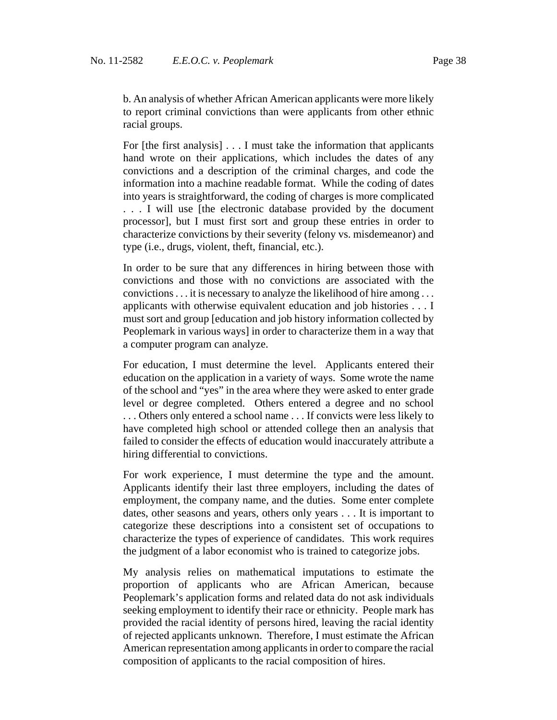b. An analysis of whether African American applicants were more likely to report criminal convictions than were applicants from other ethnic racial groups.

For [the first analysis] . . . I must take the information that applicants hand wrote on their applications, which includes the dates of any convictions and a description of the criminal charges, and code the information into a machine readable format. While the coding of dates into years is straightforward, the coding of charges is more complicated . . . I will use [the electronic database provided by the document processor], but I must first sort and group these entries in order to characterize convictions by their severity (felony vs. misdemeanor) and type (i.e., drugs, violent, theft, financial, etc.).

In order to be sure that any differences in hiring between those with convictions and those with no convictions are associated with the convictions . . . it is necessary to analyze the likelihood of hire among . . . applicants with otherwise equivalent education and job histories . . . I must sort and group [education and job history information collected by Peoplemark in various ways] in order to characterize them in a way that a computer program can analyze.

For education, I must determine the level. Applicants entered their education on the application in a variety of ways. Some wrote the name of the school and "yes" in the area where they were asked to enter grade level or degree completed. Others entered a degree and no school . . . Others only entered a school name . . . If convicts were less likely to have completed high school or attended college then an analysis that failed to consider the effects of education would inaccurately attribute a hiring differential to convictions.

For work experience, I must determine the type and the amount. Applicants identify their last three employers, including the dates of employment, the company name, and the duties. Some enter complete dates, other seasons and years, others only years . . . It is important to categorize these descriptions into a consistent set of occupations to characterize the types of experience of candidates. This work requires the judgment of a labor economist who is trained to categorize jobs.

My analysis relies on mathematical imputations to estimate the proportion of applicants who are African American, because Peoplemark's application forms and related data do not ask individuals seeking employment to identify their race or ethnicity. People mark has provided the racial identity of persons hired, leaving the racial identity of rejected applicants unknown. Therefore, I must estimate the African American representation among applicants in order to compare the racial composition of applicants to the racial composition of hires.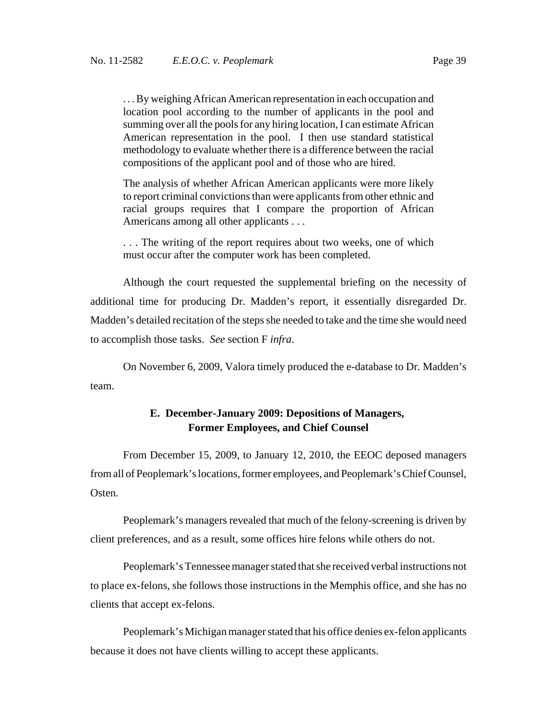. . . By weighing African American representation in each occupation and location pool according to the number of applicants in the pool and summing over all the pools for any hiring location, I can estimate African American representation in the pool. I then use standard statistical methodology to evaluate whether there is a difference between the racial compositions of the applicant pool and of those who are hired.

The analysis of whether African American applicants were more likely to report criminal convictions than were applicants from other ethnic and racial groups requires that I compare the proportion of African Americans among all other applicants . . .

. . . The writing of the report requires about two weeks, one of which must occur after the computer work has been completed.

Although the court requested the supplemental briefing on the necessity of additional time for producing Dr. Madden's report, it essentially disregarded Dr. Madden's detailed recitation of the steps she needed to take and the time she would need to accomplish those tasks. *See* section F *infra*.

On November 6, 2009, Valora timely produced the e-database to Dr. Madden's team.

### **E. December-January 2009: Depositions of Managers, Former Employees, and Chief Counsel**

From December 15, 2009, to January 12, 2010, the EEOC deposed managers from all of Peoplemark's locations, former employees, and Peoplemark's Chief Counsel, Osten.

Peoplemark's managers revealed that much of the felony-screening is driven by client preferences, and as a result, some offices hire felons while others do not.

Peoplemark's Tennessee manager stated that she received verbal instructions not to place ex-felons, she follows those instructions in the Memphis office, and she has no clients that accept ex-felons.

Peoplemark's Michigan manager stated that his office denies ex-felon applicants because it does not have clients willing to accept these applicants.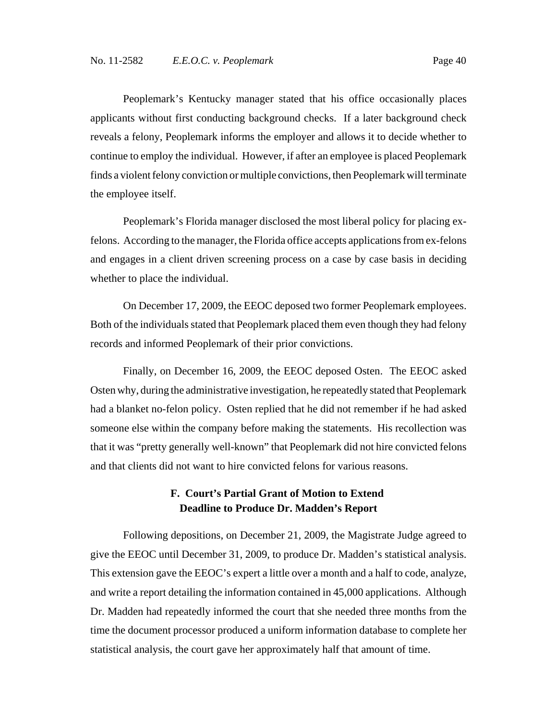Peoplemark's Kentucky manager stated that his office occasionally places applicants without first conducting background checks. If a later background check reveals a felony, Peoplemark informs the employer and allows it to decide whether to continue to employ the individual. However, if after an employee is placed Peoplemark finds a violent felony conviction or multiple convictions, then Peoplemark will terminate the employee itself.

Peoplemark's Florida manager disclosed the most liberal policy for placing exfelons. According to the manager, the Florida office accepts applications from ex-felons and engages in a client driven screening process on a case by case basis in deciding whether to place the individual.

On December 17, 2009, the EEOC deposed two former Peoplemark employees. Both of the individuals stated that Peoplemark placed them even though they had felony records and informed Peoplemark of their prior convictions.

Finally, on December 16, 2009, the EEOC deposed Osten. The EEOC asked Osten why, during the administrative investigation, he repeatedly stated that Peoplemark had a blanket no-felon policy. Osten replied that he did not remember if he had asked someone else within the company before making the statements. His recollection was that it was "pretty generally well-known" that Peoplemark did not hire convicted felons and that clients did not want to hire convicted felons for various reasons.

## **F. Court's Partial Grant of Motion to Extend Deadline to Produce Dr. Madden's Report**

Following depositions, on December 21, 2009, the Magistrate Judge agreed to give the EEOC until December 31, 2009, to produce Dr. Madden's statistical analysis. This extension gave the EEOC's expert a little over a month and a half to code, analyze, and write a report detailing the information contained in 45,000 applications. Although Dr. Madden had repeatedly informed the court that she needed three months from the time the document processor produced a uniform information database to complete her statistical analysis, the court gave her approximately half that amount of time.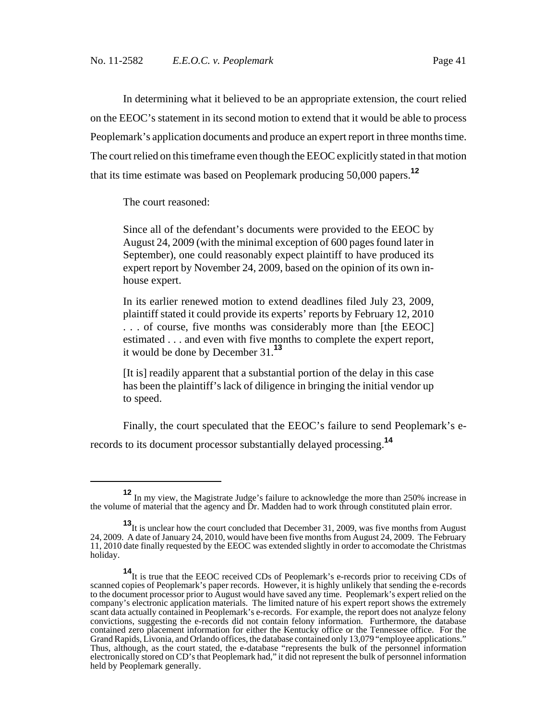In determining what it believed to be an appropriate extension, the court relied on the EEOC's statement in its second motion to extend that it would be able to process Peoplemark's application documents and produce an expert report in three months time. The court relied on this timeframe even though the EEOC explicitly stated in that motion that its time estimate was based on Peoplemark producing 50,000 papers.**<sup>12</sup>**

The court reasoned:

Since all of the defendant's documents were provided to the EEOC by August 24, 2009 (with the minimal exception of 600 pages found later in September), one could reasonably expect plaintiff to have produced its expert report by November 24, 2009, based on the opinion of its own inhouse expert.

In its earlier renewed motion to extend deadlines filed July 23, 2009, plaintiff stated it could provide its experts' reports by February 12, 2010 . . . of course, five months was considerably more than [the EEOC] estimated . . . and even with five months to complete the expert report, it would be done by December 31.**<sup>13</sup>**

[It is] readily apparent that a substantial portion of the delay in this case has been the plaintiff's lack of diligence in bringing the initial vendor up to speed.

Finally, the court speculated that the EEOC's failure to send Peoplemark's erecords to its document processor substantially delayed processing.**<sup>14</sup>**

**<sup>12</sup>** In my view, the Magistrate Judge's failure to acknowledge the more than 250% increase in the volume of material that the agency and Dr. Madden had to work through constituted plain error.

**<sup>13</sup>**It is unclear how the court concluded that December 31, 2009, was five months from August 24, 2009. A date of January 24, 2010, would have been five months from August 24, 2009. The February 11, 2010 date finally requested by the EEOC was extended slightly in order to accomodate the Christmas holiday.

**<sup>14</sup>**It is true that the EEOC received CDs of Peoplemark's e-records prior to receiving CDs of scanned copies of Peoplemark's paper records. However, it is highly unlikely that sending the e-records to the document processor prior to August would have saved any time. Peoplemark's expert relied on the company's electronic application materials. The limited nature of his expert report shows the extremely scant data actually contained in Peoplemark's e-records. For example, the report does not analyze felony convictions, suggesting the e-records did not contain felony information. Furthermore, the database contained zero placement information for either the Kentucky office or the Tennessee office. For the Grand Rapids, Livonia, and Orlando offices, the database contained only 13,079 "employee applications." Thus, although, as the court stated, the e-database "represents the bulk of the personnel information electronically stored on CD's that Peoplemark had," it did not represent the bulk of personnel information held by Peoplemark generally.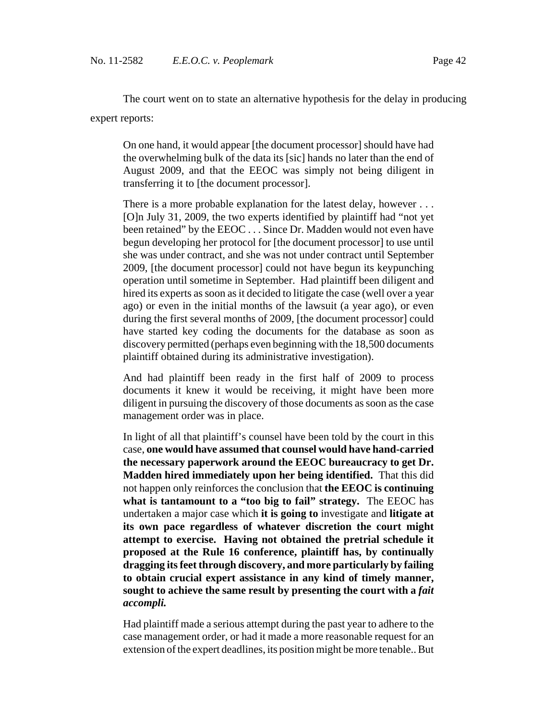The court went on to state an alternative hypothesis for the delay in producing expert reports:

On one hand, it would appear [the document processor] should have had the overwhelming bulk of the data its [sic] hands no later than the end of August 2009, and that the EEOC was simply not being diligent in transferring it to [the document processor].

There is a more probable explanation for the latest delay, however . . . [O]n July 31, 2009, the two experts identified by plaintiff had "not yet been retained" by the EEOC . . . Since Dr. Madden would not even have begun developing her protocol for [the document processor] to use until she was under contract, and she was not under contract until September 2009, [the document processor] could not have begun its keypunching operation until sometime in September. Had plaintiff been diligent and hired its experts as soon as it decided to litigate the case (well over a year ago) or even in the initial months of the lawsuit (a year ago), or even during the first several months of 2009, [the document processor] could have started key coding the documents for the database as soon as discovery permitted (perhaps even beginning with the 18,500 documents plaintiff obtained during its administrative investigation).

And had plaintiff been ready in the first half of 2009 to process documents it knew it would be receiving, it might have been more diligent in pursuing the discovery of those documents as soon as the case management order was in place.

In light of all that plaintiff's counsel have been told by the court in this case, **one would have assumed that counsel would have hand-carried the necessary paperwork around the EEOC bureaucracy to get Dr. Madden hired immediately upon her being identified.** That this did not happen only reinforces the conclusion that **the EEOC is continuing what is tantamount to a "too big to fail" strategy.** The EEOC has undertaken a major case which **it is going to** investigate and **litigate at its own pace regardless of whatever discretion the court might attempt to exercise. Having not obtained the pretrial schedule it proposed at the Rule 16 conference, plaintiff has, by continually dragging its feet through discovery, and more particularly by failing to obtain crucial expert assistance in any kind of timely manner, sought to achieve the same result by presenting the court with a** *fait accompli.*

Had plaintiff made a serious attempt during the past year to adhere to the case management order, or had it made a more reasonable request for an extension of the expert deadlines, its position might be more tenable.. But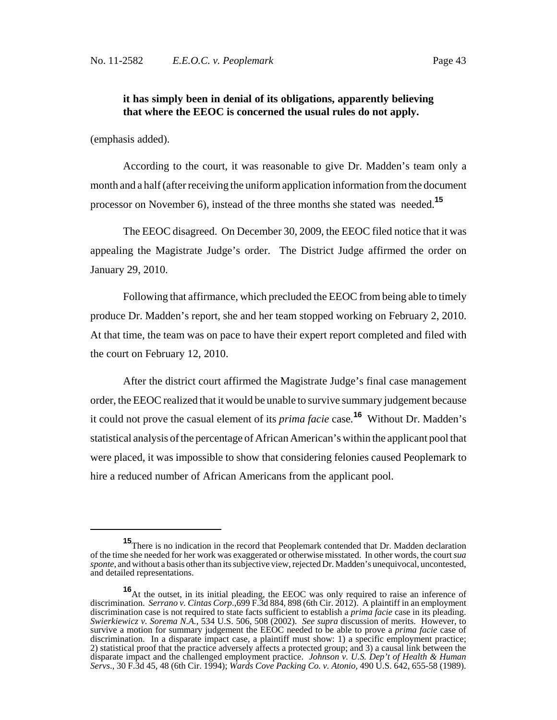### **it has simply been in denial of its obligations, apparently believing that where the EEOC is concerned the usual rules do not apply.**

(emphasis added).

According to the court, it was reasonable to give Dr. Madden's team only a month and a half (after receiving the uniform application information from the document processor on November 6), instead of the three months she stated was needed.**<sup>15</sup>**

The EEOC disagreed. On December 30, 2009, the EEOC filed notice that it was appealing the Magistrate Judge's order. The District Judge affirmed the order on January 29, 2010.

Following that affirmance, which precluded the EEOC from being able to timely produce Dr. Madden's report, she and her team stopped working on February 2, 2010. At that time, the team was on pace to have their expert report completed and filed with the court on February 12, 2010.

After the district court affirmed the Magistrate Judge's final case management order, the EEOC realized that it would be unable to survive summary judgement because it could not prove the casual element of its *prima facie* case*.* **<sup>16</sup>** Without Dr. Madden's statistical analysis of the percentage of African American's within the applicant pool that were placed, it was impossible to show that considering felonies caused Peoplemark to hire a reduced number of African Americans from the applicant pool.

**<sup>15</sup>**There is no indication in the record that Peoplemark contended that Dr. Madden declaration of the time she needed for her work was exaggerated or otherwise misstated. In other words, the court *sua sponte*, and without a basis other than its subjective view, rejected Dr. Madden's unequivocal, uncontested, and detailed representations.

**<sup>16</sup>**At the outset, in its initial pleading, the EEOC was only required to raise an inference of discrimination. *Serrano v. Cintas Corp*.,699 F.3d 884, 898 (6th Cir. 2012). A plaintiff in an employment discrimination case is not required to state facts sufficient to establish a *prima facie* case in its pleading. *Swierkiewicz v. Sorema N.A.*, 534 U.S. 506, 508 (2002). *See supra* discussion of merits. However, to survive a motion for summary judgement the EEOC needed to be able to prove a *prima facie* case of discrimination. In a disparate impact case, a plaintiff must show: 1) a specific employment practice; 2) statistical proof that the practice adversely affects a protected group; and 3) a causal link between the disparate impact and the challenged employment practice. *Johnson v. U.S. Dep't of Health & Human Servs*., 30 F.3d 45, 48 (6th Cir. 1994); *Wards Cove Packing Co. v. Atonio*, 490 U.S. 642, 655-58 (1989).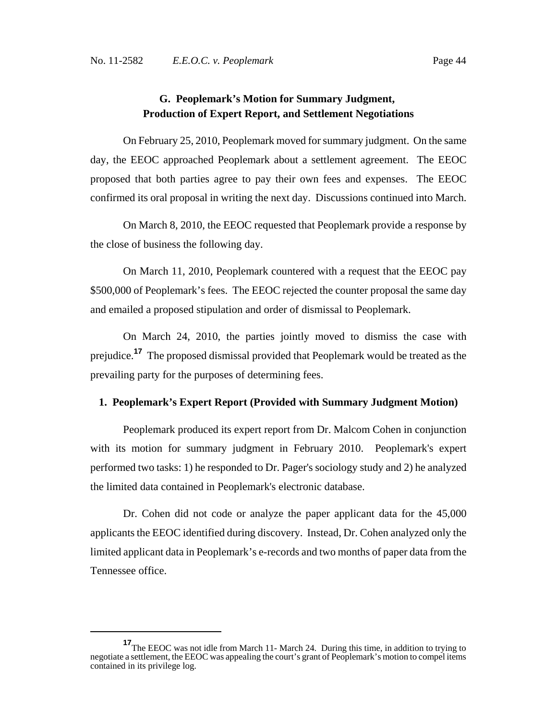## **G. Peoplemark's Motion for Summary Judgment, Production of Expert Report, and Settlement Negotiations**

On February 25, 2010, Peoplemark moved for summary judgment. On the same day, the EEOC approached Peoplemark about a settlement agreement. The EEOC proposed that both parties agree to pay their own fees and expenses. The EEOC confirmed its oral proposal in writing the next day. Discussions continued into March.

On March 8, 2010, the EEOC requested that Peoplemark provide a response by the close of business the following day.

On March 11, 2010, Peoplemark countered with a request that the EEOC pay \$500,000 of Peoplemark's fees. The EEOC rejected the counter proposal the same day and emailed a proposed stipulation and order of dismissal to Peoplemark.

On March 24, 2010, the parties jointly moved to dismiss the case with prejudice.**<sup>17</sup>** The proposed dismissal provided that Peoplemark would be treated as the prevailing party for the purposes of determining fees.

### **1. Peoplemark's Expert Report (Provided with Summary Judgment Motion)**

Peoplemark produced its expert report from Dr. Malcom Cohen in conjunction with its motion for summary judgment in February 2010. Peoplemark's expert performed two tasks: 1) he responded to Dr. Pager's sociology study and 2) he analyzed the limited data contained in Peoplemark's electronic database.

Dr. Cohen did not code or analyze the paper applicant data for the 45,000 applicants the EEOC identified during discovery. Instead, Dr. Cohen analyzed only the limited applicant data in Peoplemark's e-records and two months of paper data from the Tennessee office.

**<sup>17</sup>**The EEOC was not idle from March 11- March 24. During this time, in addition to trying to negotiate a settlement, the EEOC was appealing the court's grant of Peoplemark's motion to compel items contained in its privilege log.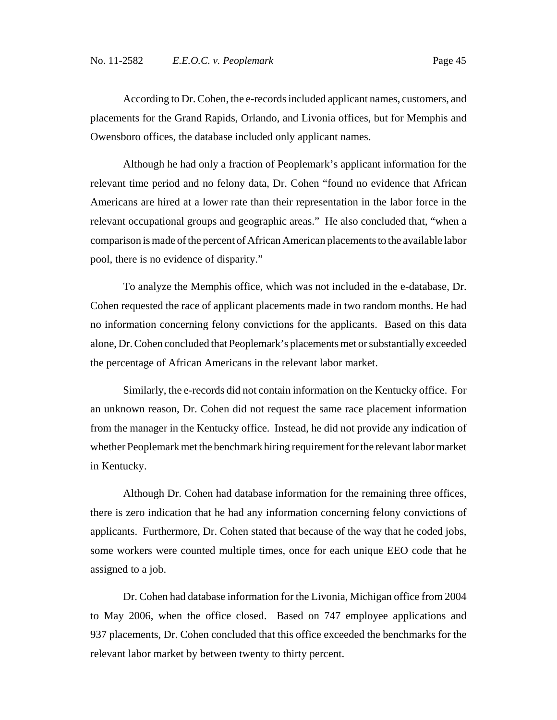According to Dr. Cohen, the e-records included applicant names, customers, and placements for the Grand Rapids, Orlando, and Livonia offices, but for Memphis and Owensboro offices, the database included only applicant names.

Although he had only a fraction of Peoplemark's applicant information for the relevant time period and no felony data, Dr. Cohen "found no evidence that African Americans are hired at a lower rate than their representation in the labor force in the relevant occupational groups and geographic areas." He also concluded that, "when a comparison is made of the percent of African American placements to the available labor pool, there is no evidence of disparity."

To analyze the Memphis office, which was not included in the e-database, Dr. Cohen requested the race of applicant placements made in two random months. He had no information concerning felony convictions for the applicants. Based on this data alone, Dr. Cohen concluded that Peoplemark's placements met or substantially exceeded the percentage of African Americans in the relevant labor market.

Similarly, the e-records did not contain information on the Kentucky office. For an unknown reason, Dr. Cohen did not request the same race placement information from the manager in the Kentucky office. Instead, he did not provide any indication of whether Peoplemark met the benchmark hiring requirement for the relevant labor market in Kentucky.

Although Dr. Cohen had database information for the remaining three offices, there is zero indication that he had any information concerning felony convictions of applicants. Furthermore, Dr. Cohen stated that because of the way that he coded jobs, some workers were counted multiple times, once for each unique EEO code that he assigned to a job.

Dr. Cohen had database information for the Livonia, Michigan office from 2004 to May 2006, when the office closed. Based on 747 employee applications and 937 placements, Dr. Cohen concluded that this office exceeded the benchmarks for the relevant labor market by between twenty to thirty percent.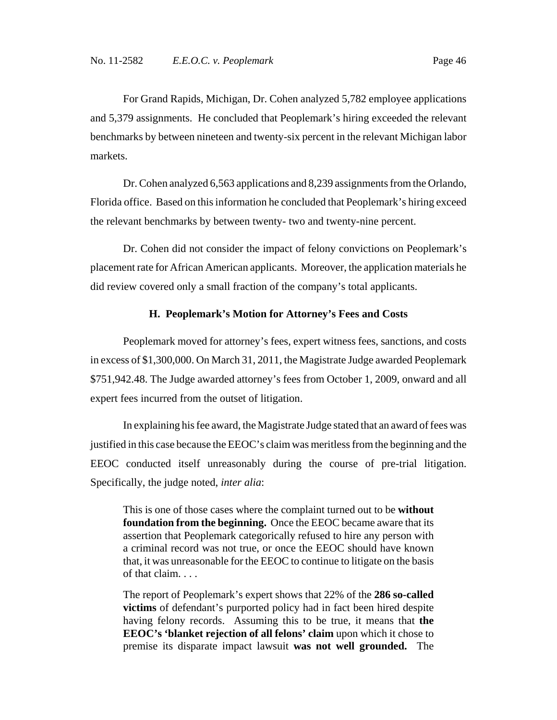For Grand Rapids, Michigan, Dr. Cohen analyzed 5,782 employee applications and 5,379 assignments. He concluded that Peoplemark's hiring exceeded the relevant benchmarks by between nineteen and twenty-six percent in the relevant Michigan labor markets.

Dr. Cohen analyzed 6,563 applications and 8,239 assignments from the Orlando, Florida office. Based on this information he concluded that Peoplemark's hiring exceed the relevant benchmarks by between twenty- two and twenty-nine percent.

Dr. Cohen did not consider the impact of felony convictions on Peoplemark's placement rate for African American applicants. Moreover, the application materials he did review covered only a small fraction of the company's total applicants.

### **H. Peoplemark's Motion for Attorney's Fees and Costs**

Peoplemark moved for attorney's fees, expert witness fees, sanctions, and costs in excess of \$1,300,000. On March 31, 2011, the Magistrate Judge awarded Peoplemark \$751,942.48. The Judge awarded attorney's fees from October 1, 2009, onward and all expert fees incurred from the outset of litigation.

In explaining his fee award, the Magistrate Judge stated that an award of fees was justified in this case because the EEOC's claim was meritless from the beginning and the EEOC conducted itself unreasonably during the course of pre-trial litigation. Specifically, the judge noted, *inter alia*:

This is one of those cases where the complaint turned out to be **without foundation from the beginning.** Once the EEOC became aware that its assertion that Peoplemark categorically refused to hire any person with a criminal record was not true, or once the EEOC should have known that, it was unreasonable for the EEOC to continue to litigate on the basis of that claim. . . .

The report of Peoplemark's expert shows that 22% of the **286 so-called victims** of defendant's purported policy had in fact been hired despite having felony records. Assuming this to be true, it means that **the EEOC's 'blanket rejection of all felons' claim** upon which it chose to premise its disparate impact lawsuit **was not well grounded.** The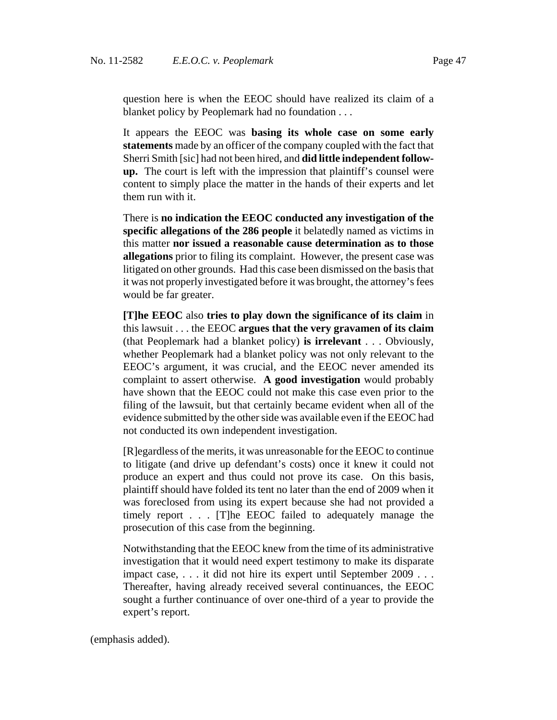question here is when the EEOC should have realized its claim of a blanket policy by Peoplemark had no foundation . . .

It appears the EEOC was **basing its whole case on some early statements** made by an officer of the company coupled with the fact that Sherri Smith [sic] had not been hired, and **did little independent followup.** The court is left with the impression that plaintiff's counsel were content to simply place the matter in the hands of their experts and let them run with it.

There is **no indication the EEOC conducted any investigation of the specific allegations of the 286 people** it belatedly named as victims in this matter **nor issued a reasonable cause determination as to those allegations** prior to filing its complaint. However, the present case was litigated on other grounds. Had this case been dismissed on the basis that it was not properly investigated before it was brought, the attorney's fees would be far greater.

**[T]he EEOC** also **tries to play down the significance of its claim** in this lawsuit . . . the EEOC **argues that the very gravamen of its claim** (that Peoplemark had a blanket policy) **is irrelevant** . . . Obviously, whether Peoplemark had a blanket policy was not only relevant to the EEOC's argument, it was crucial, and the EEOC never amended its complaint to assert otherwise. **A good investigation** would probably have shown that the EEOC could not make this case even prior to the filing of the lawsuit, but that certainly became evident when all of the evidence submitted by the other side was available even if the EEOC had not conducted its own independent investigation.

[R]egardless of the merits, it was unreasonable for the EEOC to continue to litigate (and drive up defendant's costs) once it knew it could not produce an expert and thus could not prove its case. On this basis, plaintiff should have folded its tent no later than the end of 2009 when it was foreclosed from using its expert because she had not provided a timely report . . . [T]he EEOC failed to adequately manage the prosecution of this case from the beginning.

Notwithstanding that the EEOC knew from the time of its administrative investigation that it would need expert testimony to make its disparate impact case, . . . it did not hire its expert until September 2009 . . . Thereafter, having already received several continuances, the EEOC sought a further continuance of over one-third of a year to provide the expert's report.

(emphasis added).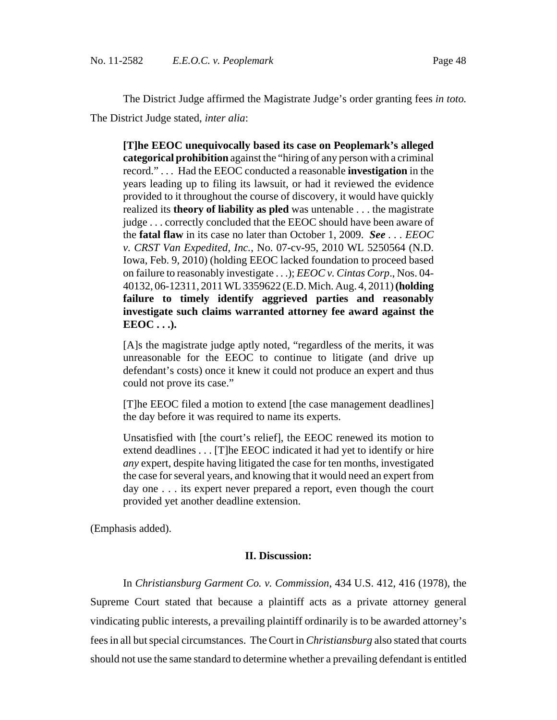The District Judge affirmed the Magistrate Judge's order granting fees *in toto.* The District Judge stated, *inter alia*:

**[T]he EEOC unequivocally based its case on Peoplemark's alleged categorical prohibition** against the "hiring of any person with a criminal record." . . . Had the EEOC conducted a reasonable **investigation** in the years leading up to filing its lawsuit, or had it reviewed the evidence provided to it throughout the course of discovery, it would have quickly realized its **theory of liability as pled** was untenable . . . the magistrate judge . . . correctly concluded that the EEOC should have been aware of the **fatal flaw** in its case no later than October 1, 2009. *See . . . EEOC v. CRST Van Expedited, Inc.*, No. 07-cv-95, 2010 WL 5250564 (N.D. Iowa, Feb. 9, 2010) (holding EEOC lacked foundation to proceed based on failure to reasonably investigate . . .); *EEOC v. Cintas Corp*., Nos. 04- 40132, 06-12311, 2011 WL 3359622 (E.D. Mich. Aug. 4, 2011) **(holding failure to timely identify aggrieved parties and reasonably investigate such claims warranted attorney fee award against the EEOC . . .).**

[A]s the magistrate judge aptly noted, "regardless of the merits, it was unreasonable for the EEOC to continue to litigate (and drive up defendant's costs) once it knew it could not produce an expert and thus could not prove its case."

[T]he EEOC filed a motion to extend [the case management deadlines] the day before it was required to name its experts.

Unsatisfied with [the court's relief], the EEOC renewed its motion to extend deadlines . . . [T]he EEOC indicated it had yet to identify or hire *any* expert, despite having litigated the case for ten months, investigated the case for several years, and knowing that it would need an expert from day one . . . its expert never prepared a report, even though the court provided yet another deadline extension.

(Emphasis added).

#### **II. Discussion:**

In *Christiansburg Garment Co. v. Commission*, 434 U.S. 412, 416 (1978), the Supreme Court stated that because a plaintiff acts as a private attorney general vindicating public interests, a prevailing plaintiff ordinarily is to be awarded attorney's fees in all but special circumstances. The Court in *Christiansburg* also stated that courts should not use the same standard to determine whether a prevailing defendant is entitled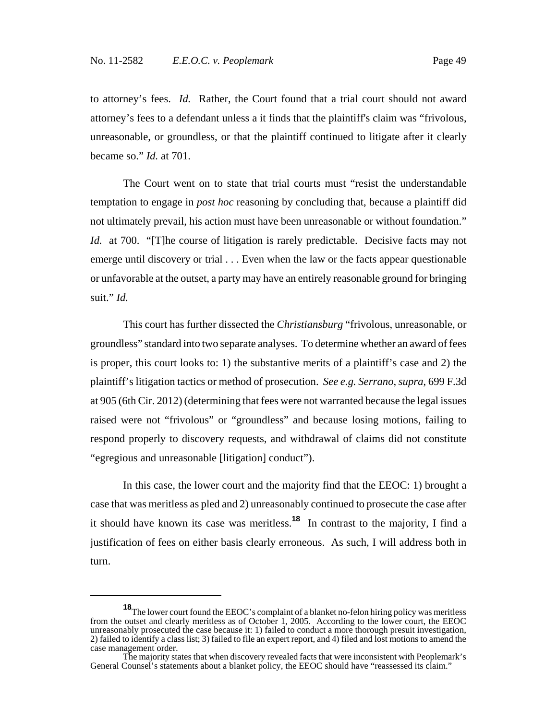to attorney's fees. *Id.* Rather, the Court found that a trial court should not award attorney's fees to a defendant unless a it finds that the plaintiff's claim was "frivolous, unreasonable, or groundless, or that the plaintiff continued to litigate after it clearly became so." *Id.* at 701.

The Court went on to state that trial courts must "resist the understandable temptation to engage in *post hoc* reasoning by concluding that, because a plaintiff did not ultimately prevail, his action must have been unreasonable or without foundation." *Id.* at 700. "[T]he course of litigation is rarely predictable. Decisive facts may not emerge until discovery or trial . . . Even when the law or the facts appear questionable or unfavorable at the outset, a party may have an entirely reasonable ground for bringing suit." *Id.*

This court has further dissected the *Christiansburg* "frivolous, unreasonable, or groundless" standard into two separate analyses. To determine whether an award of fees is proper, this court looks to: 1) the substantive merits of a plaintiff's case and 2) the plaintiff's litigation tactics or method of prosecution. *See e.g. Serrano*, *supra*, 699 F.3d at 905 (6th Cir. 2012) (determining that fees were not warranted because the legal issues raised were not "frivolous" or "groundless" and because losing motions, failing to respond properly to discovery requests, and withdrawal of claims did not constitute "egregious and unreasonable [litigation] conduct").

In this case, the lower court and the majority find that the EEOC: 1) brought a case that was meritless as pled and 2) unreasonably continued to prosecute the case after it should have known its case was meritless.**<sup>18</sup>** In contrast to the majority, I find a justification of fees on either basis clearly erroneous. As such, I will address both in turn.

**<sup>18</sup>**The lower court found the EEOC's complaint of a blanket no-felon hiring policy was meritless from the outset and clearly meritless as of October 1, 2005. According to the lower court, the EEOC unreasonably prosecuted the case because it: 1) failed to conduct a more thorough presuit investigation, 2) failed to identify a class list; 3) failed to file an expert report, and 4) filed and lost motions to amend the case management order.

The majority states that when discovery revealed facts that were inconsistent with Peoplemark's General Counsel's statements about a blanket policy, the EEOC should have "reassessed its claim."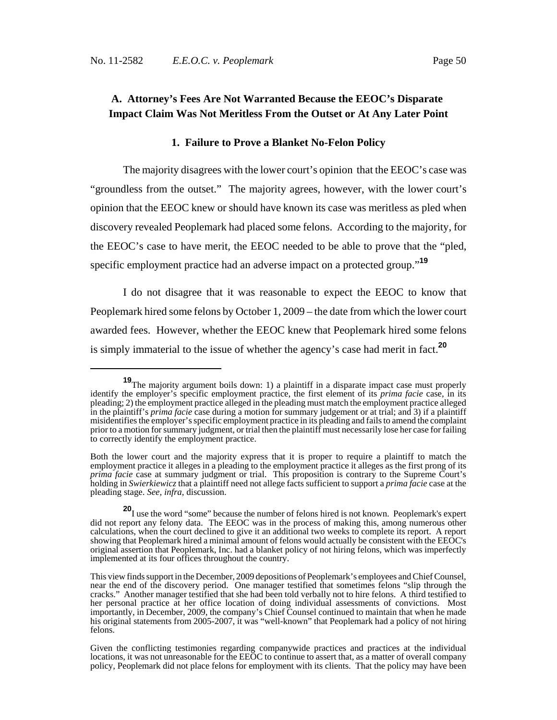## **A. Attorney's Fees Are Not Warranted Because the EEOC's Disparate Impact Claim Was Not Meritless From the Outset or At Any Later Point**

#### **1. Failure to Prove a Blanket No-Felon Policy**

The majority disagrees with the lower court's opinion that the EEOC's case was "groundless from the outset." The majority agrees, however, with the lower court's opinion that the EEOC knew or should have known its case was meritless as pled when discovery revealed Peoplemark had placed some felons. According to the majority, for the EEOC's case to have merit, the EEOC needed to be able to prove that the "pled, specific employment practice had an adverse impact on a protected group."**<sup>19</sup>**

I do not disagree that it was reasonable to expect the EEOC to know that Peoplemark hired some felons by October 1, 2009 – the date from which the lower court awarded fees. However, whether the EEOC knew that Peoplemark hired some felons is simply immaterial to the issue of whether the agency's case had merit in fact.**<sup>20</sup>**

**<sup>19</sup>**The majority argument boils down: 1) a plaintiff in a disparate impact case must properly identify the employer's specific employment practice, the first element of its *prima facie* case, in its pleading; 2) the employment practice alleged in the pleading must match the employment practice alleged in the plaintiff's *prima facie* case during a motion for summary judgement or at trial; and 3) if a plaintiff misidentifies the employer's specific employment practice in its pleading and fails to amend the complaint prior to a motion for summary judgment, or trial then the plaintiff must necessarily lose her case for failing to correctly identify the employment practice.

Both the lower court and the majority express that it is proper to require a plaintiff to match the employment practice it alleges in a pleading to the employment practice it alleges as the first prong of its *prima facie* case at summary judgment or trial. This proposition is contrary to the Supreme Court's holding in *Swierkiewicz* that a plaintiff need not allege facts sufficient to support a *prima facie* case at the pleading stage. *See, infra*, discussion.

**<sup>20</sup>**I use the word "some" because the number of felons hired is not known. Peoplemark's expert did not report any felony data. The EEOC was in the process of making this, among numerous other calculations, when the court declined to give it an additional two weeks to complete its report. A report showing that Peoplemark hired a minimal amount of felons would actually be consistent with the EEOC's original assertion that Peoplemark, Inc. had a blanket policy of not hiring felons, which was imperfectly implemented at its four offices throughout the country.

This view finds support in the December, 2009 depositions of Peoplemark's employees and Chief Counsel, near the end of the discovery period. One manager testified that sometimes felons "slip through the cracks." Another manager testified that she had been told verbally not to hire felons. A third testified to her personal practice at her office location of doing individual assessments of convictions. Most importantly, in December, 2009, the company's Chief Counsel continued to maintain that when he made his original statements from 2005-2007, it was "well-known" that Peoplemark had a policy of not hiring felons.

Given the conflicting testimonies regarding companywide practices and practices at the individual locations, it was not unreasonable for the EEOC to continue to assert that, as a matter of overall company policy, Peoplemark did not place felons for employment with its clients. That the policy may have been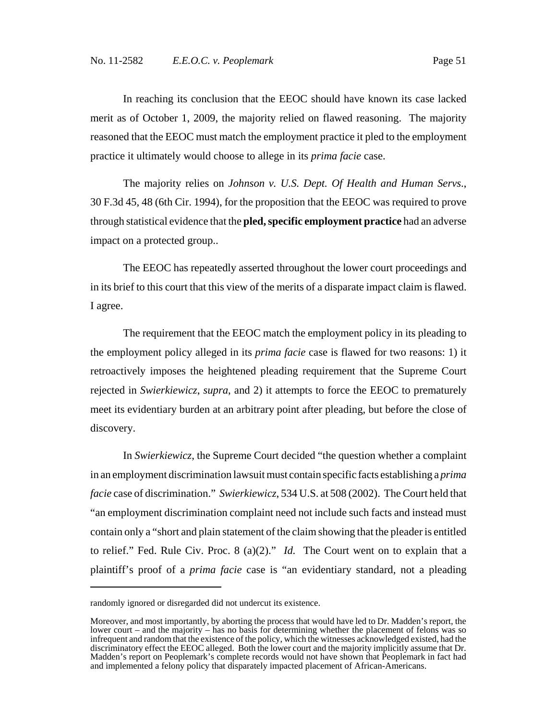In reaching its conclusion that the EEOC should have known its case lacked merit as of October 1, 2009, the majority relied on flawed reasoning. The majority reasoned that the EEOC must match the employment practice it pled to the employment practice it ultimately would choose to allege in its *prima facie* case.

The majority relies on *Johnson v. U.S. Dept. Of Health and Human Servs*., 30 F.3d 45, 48 (6th Cir. 1994), for the proposition that the EEOC was required to prove through statistical evidence that the **pled,specific employment practice** had an adverse impact on a protected group..

The EEOC has repeatedly asserted throughout the lower court proceedings and in its brief to this court that this view of the merits of a disparate impact claim is flawed. I agree.

The requirement that the EEOC match the employment policy in its pleading to the employment policy alleged in its *prima facie* case is flawed for two reasons: 1) it retroactively imposes the heightened pleading requirement that the Supreme Court rejected in *Swierkiewicz*, *supra*, and 2) it attempts to force the EEOC to prematurely meet its evidentiary burden at an arbitrary point after pleading, but before the close of discovery.

In *Swierkiewicz*, the Supreme Court decided "the question whether a complaint in an employment discrimination lawsuit must contain specific facts establishing a *prima facie* case of discrimination." *Swierkiewicz*, 534 U.S. at 508 (2002). The Court held that "an employment discrimination complaint need not include such facts and instead must contain only a "short and plain statement of the claim showing that the pleader is entitled to relief." Fed. Rule Civ. Proc. 8 (a)(2)." *Id.* The Court went on to explain that a plaintiff's proof of a *prima facie* case is "an evidentiary standard, not a pleading

randomly ignored or disregarded did not undercut its existence.

Moreover, and most importantly, by aborting the process that would have led to Dr. Madden's report, the lower court – and the majority – has no basis for determining whether the placement of felons was so infrequent and random that the existence of the policy, which the witnesses acknowledged existed, had the discriminatory effect the EEOC alleged. Both the lower court and the majority implicitly assume that Dr. Madden's report on Peoplemark's complete records would not have shown that Peoplemark in fact had and implemented a felony policy that disparately impacted placement of African-Americans.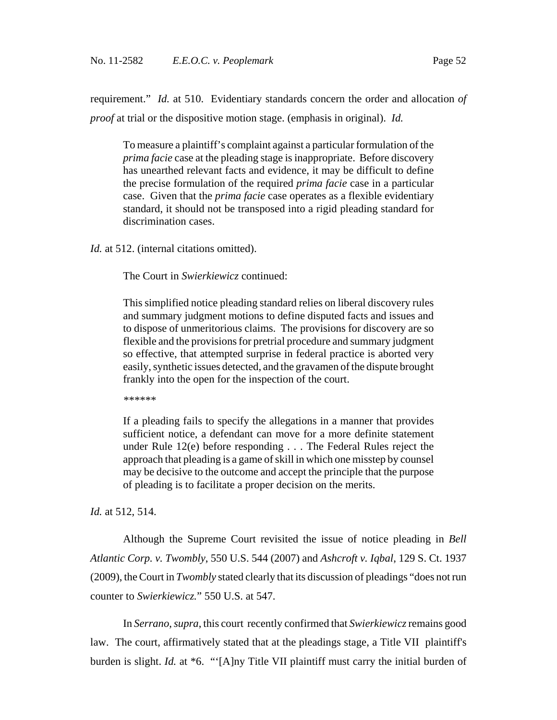requirement." *Id.* at 510. Evidentiary standards concern the order and allocation *of proof* at trial or the dispositive motion stage. (emphasis in original). *Id.*

To measure a plaintiff's complaint against a particular formulation of the *prima facie* case at the pleading stage is inappropriate. Before discovery has unearthed relevant facts and evidence, it may be difficult to define the precise formulation of the required *prima facie* case in a particular case. Given that the *prima facie* case operates as a flexible evidentiary standard, it should not be transposed into a rigid pleading standard for discrimination cases.

*Id.* at 512. (internal citations omitted).

The Court in *Swierkiewicz* continued:

This simplified notice pleading standard relies on liberal discovery rules and summary judgment motions to define disputed facts and issues and to dispose of unmeritorious claims. The provisions for discovery are so flexible and the provisions for pretrial procedure and summary judgment so effective, that attempted surprise in federal practice is aborted very easily, synthetic issues detected, and the gravamen of the dispute brought frankly into the open for the inspection of the court.

*\*\*\*\*\*\**

If a pleading fails to specify the allegations in a manner that provides sufficient notice, a defendant can move for a more definite statement under Rule 12(e) before responding . . . The Federal Rules reject the approach that pleading is a game of skill in which one misstep by counsel may be decisive to the outcome and accept the principle that the purpose of pleading is to facilitate a proper decision on the merits.

*Id.* at 512, 514.

Although the Supreme Court revisited the issue of notice pleading in *Bell Atlantic Corp. v. Twombly*, 550 U.S. 544 (2007) and *Ashcroft v. Iqbal*, 129 S. Ct. 1937 (2009), the Court in *Twombly* stated clearly that its discussion of pleadings "does not run counter to *Swierkiewicz.*" 550 U.S. at 547.

In *Serrano*, *supra*, this court recently confirmed that *Swierkiewicz* remains good law. The court, affirmatively stated that at the pleadings stage, a Title VII plaintiff's burden is slight. *Id.* at \*6. "'[A]ny Title VII plaintiff must carry the initial burden of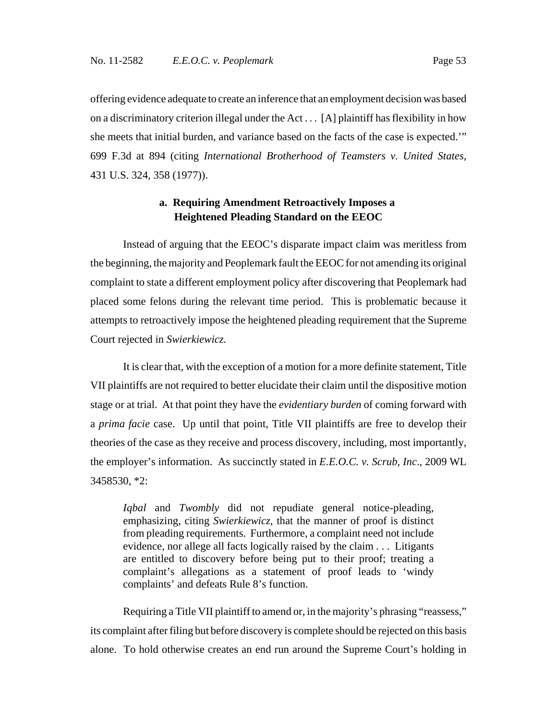offering evidence adequate to create an inference that an employment decision was based on a discriminatory criterion illegal under the Act . . . [A] plaintiff has flexibility in how she meets that initial burden, and variance based on the facts of the case is expected.'" 699 F.3d at 894 (citing *International Brotherhood of Teamsters v. United States*, 431 U.S. 324, 358 (1977)).

## **a. Requiring Amendment Retroactively Imposes a Heightened Pleading Standard on the EEOC**

Instead of arguing that the EEOC's disparate impact claim was meritless from the beginning, the majority and Peoplemark fault the EEOC for not amending its original complaint to state a different employment policy after discovering that Peoplemark had placed some felons during the relevant time period. This is problematic because it attempts to retroactively impose the heightened pleading requirement that the Supreme Court rejected in *Swierkiewicz.*

It is clear that, with the exception of a motion for a more definite statement, Title VII plaintiffs are not required to better elucidate their claim until the dispositive motion stage or at trial. At that point they have the *evidentiary burden* of coming forward with a *prima facie* case. Up until that point, Title VII plaintiffs are free to develop their theories of the case as they receive and process discovery, including, most importantly, the employer's information. As succinctly stated in *E.E.O.C. v. Scrub, Inc*., 2009 WL 3458530, \*2:

*Iqbal* and *Twombly* did not repudiate general notice-pleading, emphasizing, citing *Swierkiewicz*, that the manner of proof is distinct from pleading requirements. Furthermore, a complaint need not include evidence, nor allege all facts logically raised by the claim . . . Litigants are entitled to discovery before being put to their proof; treating a complaint's allegations as a statement of proof leads to 'windy complaints' and defeats Rule 8's function.

Requiring a Title VII plaintiff to amend or, in the majority's phrasing "reassess," its complaint after filing but before discovery is complete should be rejected on this basis alone. To hold otherwise creates an end run around the Supreme Court's holding in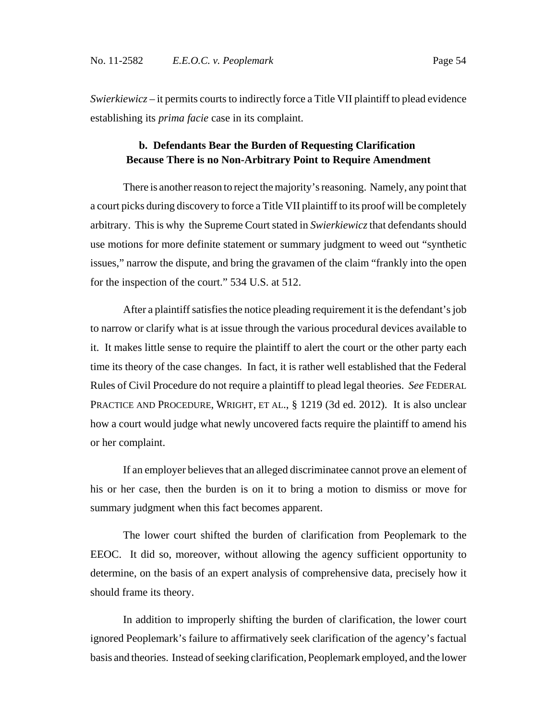*Swierkiewicz* – it permits courts to indirectly force a Title VII plaintiff to plead evidence establishing its *prima facie* case in its complaint.

## **b. Defendants Bear the Burden of Requesting Clarification Because There is no Non-Arbitrary Point to Require Amendment**

There is another reason to reject the majority's reasoning. Namely, any point that a court picks during discovery to force a Title VII plaintiff to its proof will be completely arbitrary. This is why the Supreme Court stated in *Swierkiewicz* that defendants should use motions for more definite statement or summary judgment to weed out "synthetic issues," narrow the dispute, and bring the gravamen of the claim "frankly into the open for the inspection of the court." 534 U.S. at 512.

After a plaintiff satisfies the notice pleading requirement it is the defendant's job to narrow or clarify what is at issue through the various procedural devices available to it. It makes little sense to require the plaintiff to alert the court or the other party each time its theory of the case changes. In fact, it is rather well established that the Federal Rules of Civil Procedure do not require a plaintiff to plead legal theories. *See* FEDERAL PRACTICE AND PROCEDURE, WRIGHT, ET AL., § 1219 (3d ed. 2012). It is also unclear how a court would judge what newly uncovered facts require the plaintiff to amend his or her complaint.

If an employer believes that an alleged discriminatee cannot prove an element of his or her case, then the burden is on it to bring a motion to dismiss or move for summary judgment when this fact becomes apparent.

The lower court shifted the burden of clarification from Peoplemark to the EEOC. It did so, moreover, without allowing the agency sufficient opportunity to determine, on the basis of an expert analysis of comprehensive data, precisely how it should frame its theory.

In addition to improperly shifting the burden of clarification, the lower court ignored Peoplemark's failure to affirmatively seek clarification of the agency's factual basis and theories. Instead of seeking clarification, Peoplemark employed, and the lower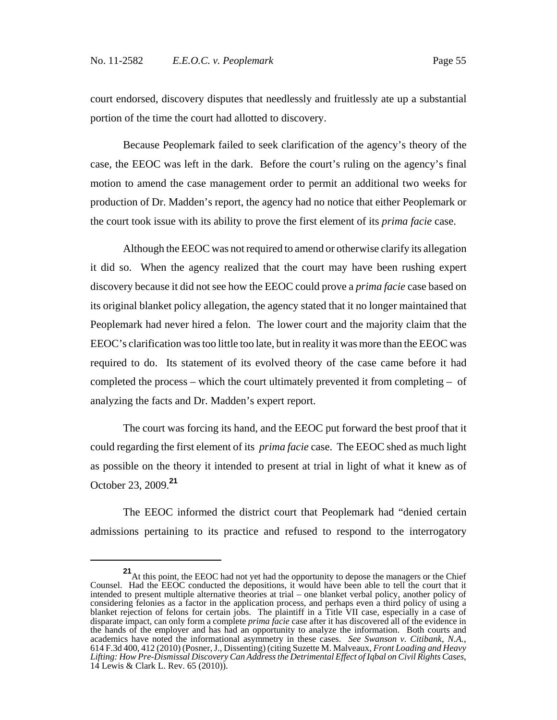court endorsed, discovery disputes that needlessly and fruitlessly ate up a substantial portion of the time the court had allotted to discovery.

Because Peoplemark failed to seek clarification of the agency's theory of the case, the EEOC was left in the dark. Before the court's ruling on the agency's final motion to amend the case management order to permit an additional two weeks for production of Dr. Madden's report, the agency had no notice that either Peoplemark or the court took issue with its ability to prove the first element of its *prima facie* case.

Although the EEOC was not required to amend or otherwise clarify its allegation it did so. When the agency realized that the court may have been rushing expert discovery because it did not see how the EEOC could prove a *prima facie* case based on its original blanket policy allegation, the agency stated that it no longer maintained that Peoplemark had never hired a felon. The lower court and the majority claim that the EEOC's clarification was too little too late, but in reality it was more than the EEOC was required to do. Its statement of its evolved theory of the case came before it had completed the process – which the court ultimately prevented it from completing – of analyzing the facts and Dr. Madden's expert report.

The court was forcing its hand, and the EEOC put forward the best proof that it could regarding the first element of its *prima facie* case. The EEOC shed as much light as possible on the theory it intended to present at trial in light of what it knew as of October 23, 2009.**<sup>21</sup>**

The EEOC informed the district court that Peoplemark had "denied certain admissions pertaining to its practice and refused to respond to the interrogatory

**<sup>21</sup>**At this point, the EEOC had not yet had the opportunity to depose the managers or the Chief Counsel. Had the EEOC conducted the depositions, it would have been able to tell the court that it intended to present multiple alternative theories at trial – one blanket verbal policy, another policy of considering felonies as a factor in the application process, and perhaps even a third policy of using a blanket rejection of felons for certain jobs. The plaintiff in a Title VII case, especially in a case of disparate impact, can only form a complete *prima facie* case after it has discovered all of the evidence in the hands of the employer and has had an opportunity to analyze the information. Both courts and academics have noted the informational asymmetry in these cases. *See Swanson v. Citibank, N.A.*, 614 F.3d 400, 412 (2010) (Posner, J., Dissenting) (citing Suzette M. Malveaux, *Front Loading and Heavy Lifting: How Pre-Dismissal Discovery Can Address the Detrimental Effect of Iqbal on Civil Rights Cases*, 14 Lewis & Clark L. Rev. 65 (2010)).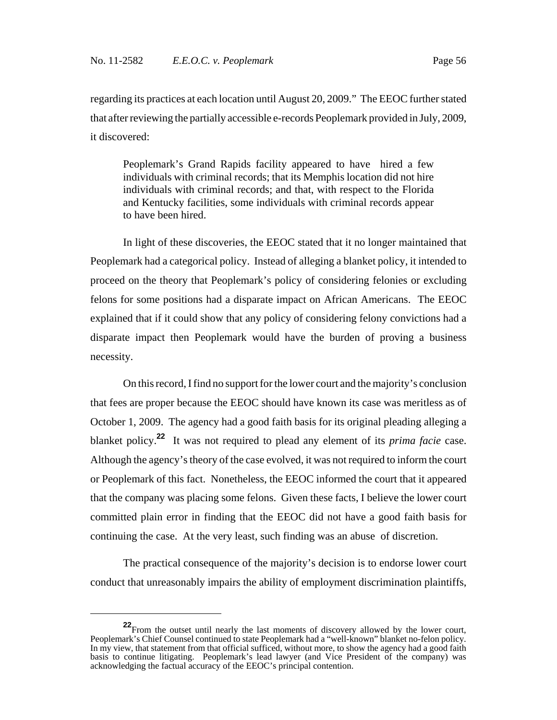regarding its practices at each location until August 20, 2009." The EEOC further stated that after reviewing the partially accessible e-records Peoplemark provided in July, 2009, it discovered:

Peoplemark's Grand Rapids facility appeared to have hired a few individuals with criminal records; that its Memphis location did not hire individuals with criminal records; and that, with respect to the Florida and Kentucky facilities, some individuals with criminal records appear to have been hired.

In light of these discoveries, the EEOC stated that it no longer maintained that Peoplemark had a categorical policy. Instead of alleging a blanket policy, it intended to proceed on the theory that Peoplemark's policy of considering felonies or excluding felons for some positions had a disparate impact on African Americans. The EEOC explained that if it could show that any policy of considering felony convictions had a disparate impact then Peoplemark would have the burden of proving a business necessity.

On this record, I find no support for the lower court and the majority's conclusion that fees are proper because the EEOC should have known its case was meritless as of October 1, 2009. The agency had a good faith basis for its original pleading alleging a blanket policy.**<sup>22</sup>** It was not required to plead any element of its *prima facie* case. Although the agency's theory of the case evolved, it was not required to inform the court or Peoplemark of this fact. Nonetheless, the EEOC informed the court that it appeared that the company was placing some felons. Given these facts, I believe the lower court committed plain error in finding that the EEOC did not have a good faith basis for continuing the case. At the very least, such finding was an abuse of discretion.

The practical consequence of the majority's decision is to endorse lower court conduct that unreasonably impairs the ability of employment discrimination plaintiffs,

**<sup>22</sup>** From the outset until nearly the last moments of discovery allowed by the lower court, Peoplemark's Chief Counsel continued to state Peoplemark had a "well-known" blanket no-felon policy. In my view, that statement from that official sufficed, without more, to show the agency had a good faith basis to continue litigating. Peoplemark's lead lawyer (and Vice President of the company) was acknowledging the factual accuracy of the EEOC's principal contention.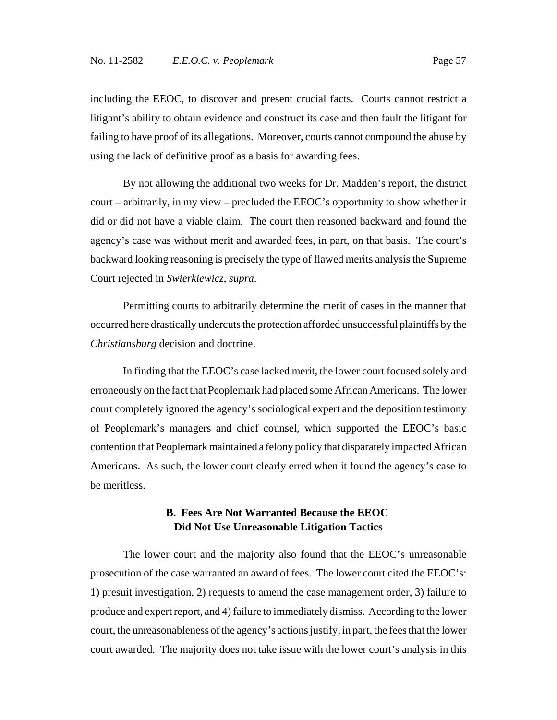including the EEOC, to discover and present crucial facts. Courts cannot restrict a litigant's ability to obtain evidence and construct its case and then fault the litigant for failing to have proof of its allegations. Moreover, courts cannot compound the abuse by using the lack of definitive proof as a basis for awarding fees.

By not allowing the additional two weeks for Dr. Madden's report, the district court – arbitrarily, in my view – precluded the EEOC's opportunity to show whether it did or did not have a viable claim. The court then reasoned backward and found the agency's case was without merit and awarded fees, in part, on that basis. The court's backward looking reasoning is precisely the type of flawed merits analysis the Supreme Court rejected in *Swierkiewicz*, *supra*.

Permitting courts to arbitrarily determine the merit of cases in the manner that occurred here drastically undercuts the protection afforded unsuccessful plaintiffs by the *Christiansburg* decision and doctrine.

In finding that the EEOC's case lacked merit, the lower court focused solely and erroneously on the fact that Peoplemark had placed some African Americans. The lower court completely ignored the agency's sociological expert and the deposition testimony of Peoplemark's managers and chief counsel, which supported the EEOC's basic contention that Peoplemark maintained a felony policy that disparately impacted African Americans. As such, the lower court clearly erred when it found the agency's case to be meritless.

### **B. Fees Are Not Warranted Because the EEOC Did Not Use Unreasonable Litigation Tactics**

The lower court and the majority also found that the EEOC's unreasonable prosecution of the case warranted an award of fees. The lower court cited the EEOC's: 1) presuit investigation, 2) requests to amend the case management order, 3) failure to produce and expert report, and 4) failure to immediately dismiss. According to the lower court, the unreasonableness of the agency's actions justify, in part, the fees that the lower court awarded. The majority does not take issue with the lower court's analysis in this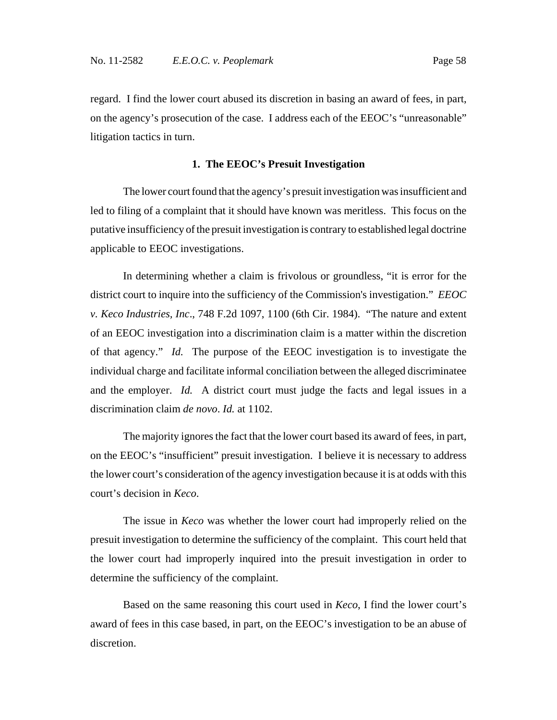regard. I find the lower court abused its discretion in basing an award of fees, in part, on the agency's prosecution of the case. I address each of the EEOC's "unreasonable" litigation tactics in turn.

### **1. The EEOC's Presuit Investigation**

The lower court found that the agency's presuit investigation was insufficient and led to filing of a complaint that it should have known was meritless. This focus on the putative insufficiency of the presuit investigation is contrary to established legal doctrine applicable to EEOC investigations.

In determining whether a claim is frivolous or groundless, "it is error for the district court to inquire into the sufficiency of the Commission's investigation." *EEOC v. Keco Industries, Inc*., 748 F.2d 1097, 1100 (6th Cir. 1984). "The nature and extent of an EEOC investigation into a discrimination claim is a matter within the discretion of that agency." *Id.* The purpose of the EEOC investigation is to investigate the individual charge and facilitate informal conciliation between the alleged discriminatee and the employer. *Id.* A district court must judge the facts and legal issues in a discrimination claim *de novo*. *Id.* at 1102.

The majority ignores the fact that the lower court based its award of fees, in part, on the EEOC's "insufficient" presuit investigation. I believe it is necessary to address the lower court's consideration of the agency investigation because it is at odds with this court's decision in *Keco*.

The issue in *Keco* was whether the lower court had improperly relied on the presuit investigation to determine the sufficiency of the complaint. This court held that the lower court had improperly inquired into the presuit investigation in order to determine the sufficiency of the complaint.

Based on the same reasoning this court used in *Keco*, I find the lower court's award of fees in this case based, in part, on the EEOC's investigation to be an abuse of discretion.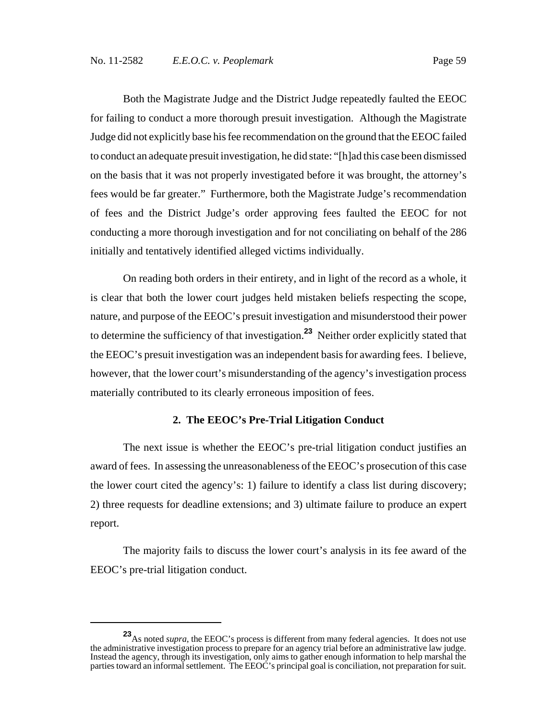Both the Magistrate Judge and the District Judge repeatedly faulted the EEOC for failing to conduct a more thorough presuit investigation. Although the Magistrate Judge did not explicitly base his fee recommendation on the ground that the EEOC failed to conduct an adequate presuit investigation, he did state: "[h]ad this case been dismissed on the basis that it was not properly investigated before it was brought, the attorney's fees would be far greater." Furthermore, both the Magistrate Judge's recommendation of fees and the District Judge's order approving fees faulted the EEOC for not conducting a more thorough investigation and for not conciliating on behalf of the 286 initially and tentatively identified alleged victims individually.

On reading both orders in their entirety, and in light of the record as a whole, it is clear that both the lower court judges held mistaken beliefs respecting the scope, nature, and purpose of the EEOC's presuit investigation and misunderstood their power to determine the sufficiency of that investigation.**<sup>23</sup>** Neither order explicitly stated that the EEOC's presuit investigation was an independent basis for awarding fees. I believe, however, that the lower court's misunderstanding of the agency's investigation process materially contributed to its clearly erroneous imposition of fees.

### **2. The EEOC's Pre-Trial Litigation Conduct**

The next issue is whether the EEOC's pre-trial litigation conduct justifies an award of fees. In assessing the unreasonableness of the EEOC's prosecution of this case the lower court cited the agency's: 1) failure to identify a class list during discovery; 2) three requests for deadline extensions; and 3) ultimate failure to produce an expert report.

The majority fails to discuss the lower court's analysis in its fee award of the EEOC's pre-trial litigation conduct.

**<sup>23</sup>**As noted *supra*, the EEOC's process is different from many federal agencies. It does not use the administrative investigation process to prepare for an agency trial before an administrative law judge. Instead the agency, through its investigation, only aims to gather enough information to help marshal the parties toward an informal settlement. The EEOC's principal goal is conciliation, not preparation for suit.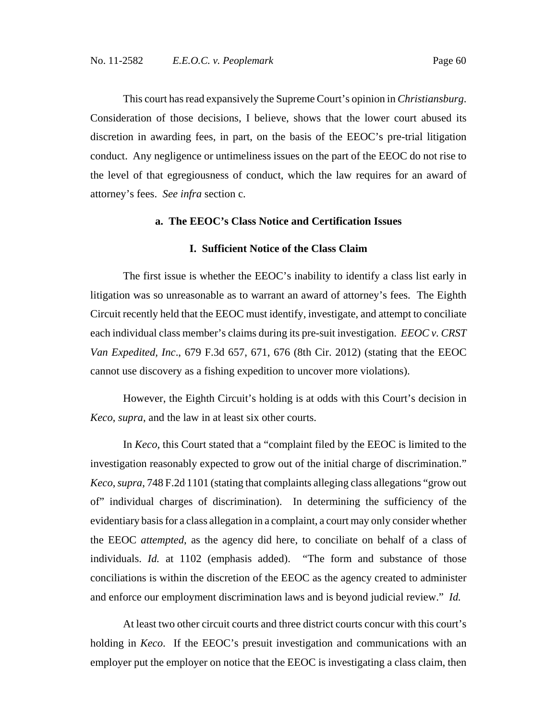This court has read expansively the Supreme Court's opinion in *Christiansburg*. Consideration of those decisions, I believe, shows that the lower court abused its discretion in awarding fees, in part, on the basis of the EEOC's pre-trial litigation conduct. Any negligence or untimeliness issues on the part of the EEOC do not rise to the level of that egregiousness of conduct, which the law requires for an award of attorney's fees. *See infra* section c.

### **a. The EEOC's Class Notice and Certification Issues**

#### **I. Sufficient Notice of the Class Claim**

The first issue is whether the EEOC's inability to identify a class list early in litigation was so unreasonable as to warrant an award of attorney's fees. The Eighth Circuit recently held that the EEOC must identify, investigate, and attempt to conciliate each individual class member's claims during its pre-suit investigation. *EEOC v. CRST Van Expedited, Inc*., 679 F.3d 657, 671, 676 (8th Cir. 2012) (stating that the EEOC cannot use discovery as a fishing expedition to uncover more violations).

However, the Eighth Circuit's holding is at odds with this Court's decision in *Keco*, *supra*, and the law in at least six other courts.

In *Keco*, this Court stated that a "complaint filed by the EEOC is limited to the investigation reasonably expected to grow out of the initial charge of discrimination." *Keco*, *supra*, 748 F.2d 1101 (stating that complaints alleging class allegations "grow out of" individual charges of discrimination). In determining the sufficiency of the evidentiary basis for a class allegation in a complaint, a court may only consider whether the EEOC *attempted*, as the agency did here, to conciliate on behalf of a class of individuals. *Id.* at 1102 (emphasis added). "The form and substance of those conciliations is within the discretion of the EEOC as the agency created to administer and enforce our employment discrimination laws and is beyond judicial review." *Id.*

At least two other circuit courts and three district courts concur with this court's holding in *Keco*. If the EEOC's presuit investigation and communications with an employer put the employer on notice that the EEOC is investigating a class claim, then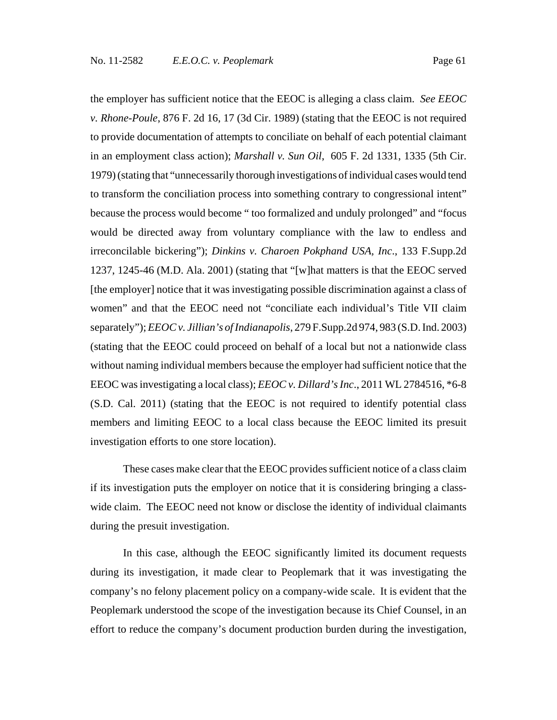the employer has sufficient notice that the EEOC is alleging a class claim. *See EEOC v. Rhone-Poule*, 876 F. 2d 16, 17 (3d Cir. 1989) (stating that the EEOC is not required to provide documentation of attempts to conciliate on behalf of each potential claimant in an employment class action); *Marshall v. Sun Oil*, 605 F. 2d 1331, 1335 (5th Cir. 1979) (stating that "unnecessarily thorough investigations of individual cases would tend to transform the conciliation process into something contrary to congressional intent" because the process would become " too formalized and unduly prolonged" and "focus would be directed away from voluntary compliance with the law to endless and irreconcilable bickering"); *Dinkins v. Charoen Pokphand USA, Inc*., 133 F.Supp.2d 1237, 1245-46 (M.D. Ala. 2001) (stating that "[w]hat matters is that the EEOC served [the employer] notice that it was investigating possible discrimination against a class of women" and that the EEOC need not "conciliate each individual's Title VII claim separately"); *EEOC v. Jillian's of Indianapolis*, 279 F.Supp.2d 974, 983 (S.D. Ind. 2003) (stating that the EEOC could proceed on behalf of a local but not a nationwide class without naming individual members because the employer had sufficient notice that the EEOC was investigating a local class); *EEOC v. Dillard's Inc*., 2011 WL 2784516, \*6-8 (S.D. Cal. 2011) (stating that the EEOC is not required to identify potential class members and limiting EEOC to a local class because the EEOC limited its presuit investigation efforts to one store location).

These cases make clear that the EEOC provides sufficient notice of a class claim if its investigation puts the employer on notice that it is considering bringing a classwide claim. The EEOC need not know or disclose the identity of individual claimants during the presuit investigation.

In this case, although the EEOC significantly limited its document requests during its investigation, it made clear to Peoplemark that it was investigating the company's no felony placement policy on a company-wide scale. It is evident that the Peoplemark understood the scope of the investigation because its Chief Counsel, in an effort to reduce the company's document production burden during the investigation,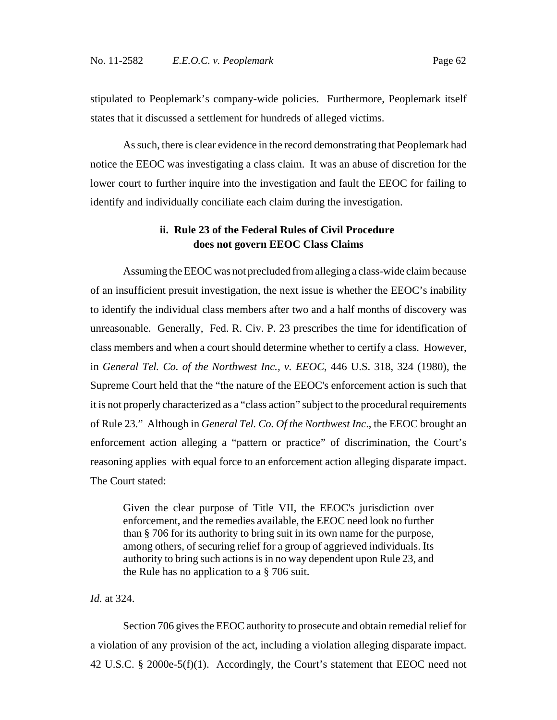stipulated to Peoplemark's company-wide policies. Furthermore, Peoplemark itself states that it discussed a settlement for hundreds of alleged victims.

As such, there is clear evidence in the record demonstrating that Peoplemark had notice the EEOC was investigating a class claim. It was an abuse of discretion for the lower court to further inquire into the investigation and fault the EEOC for failing to identify and individually conciliate each claim during the investigation.

## **ii. Rule 23 of the Federal Rules of Civil Procedure does not govern EEOC Class Claims**

Assuming the EEOC was not precluded from alleging a class-wide claim because of an insufficient presuit investigation, the next issue is whether the EEOC's inability to identify the individual class members after two and a half months of discovery was unreasonable. Generally, Fed. R. Civ. P. 23 prescribes the time for identification of class members and when a court should determine whether to certify a class. However, in *General Tel. Co. of the Northwest Inc., v. EEOC*, 446 U.S. 318, 324 (1980), the Supreme Court held that the "the nature of the EEOC's enforcement action is such that it is not properly characterized as a "class action" subject to the procedural requirements of Rule 23." Although in *General Tel. Co. Of the Northwest Inc*., the EEOC brought an enforcement action alleging a "pattern or practice" of discrimination, the Court's reasoning applies with equal force to an enforcement action alleging disparate impact. The Court stated:

Given the clear purpose of Title VII, the EEOC's jurisdiction over enforcement, and the remedies available, the EEOC need look no further than § 706 for its authority to bring suit in its own name for the purpose, among others, of securing relief for a group of aggrieved individuals. Its authority to bring such actions is in no way dependent upon Rule 23, and the Rule has no application to a § 706 suit.

### *Id.* at 324.

Section 706 gives the EEOC authority to prosecute and obtain remedial relief for a violation of any provision of the act, including a violation alleging disparate impact. 42 U.S.C. § 2000e-5(f)(1). Accordingly, the Court's statement that EEOC need not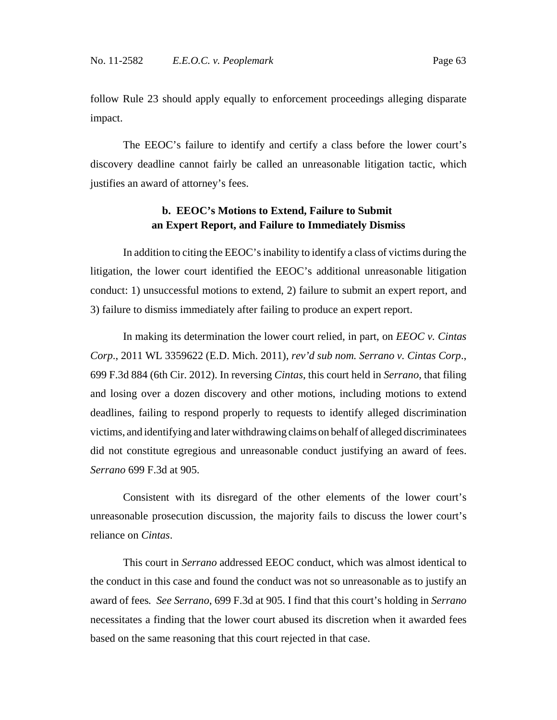follow Rule 23 should apply equally to enforcement proceedings alleging disparate impact.

The EEOC's failure to identify and certify a class before the lower court's discovery deadline cannot fairly be called an unreasonable litigation tactic, which justifies an award of attorney's fees.

## **b. EEOC's Motions to Extend, Failure to Submit an Expert Report, and Failure to Immediately Dismiss**

In addition to citing the EEOC's inability to identify a class of victims during the litigation, the lower court identified the EEOC's additional unreasonable litigation conduct: 1) unsuccessful motions to extend, 2) failure to submit an expert report, and 3) failure to dismiss immediately after failing to produce an expert report.

In making its determination the lower court relied, in part, on *EEOC v. Cintas Corp*., 2011 WL 3359622 (E.D. Mich. 2011), *rev'd sub nom. Serrano v. Cintas Corp*., 699 F.3d 884 (6th Cir. 2012). In reversing *Cintas*, this court held in *Serrano*, that filing and losing over a dozen discovery and other motions, including motions to extend deadlines, failing to respond properly to requests to identify alleged discrimination victims, and identifying and later withdrawing claims on behalf of alleged discriminatees did not constitute egregious and unreasonable conduct justifying an award of fees. *Serrano* 699 F.3d at 905.

Consistent with its disregard of the other elements of the lower court's unreasonable prosecution discussion, the majority fails to discuss the lower court's reliance on *Cintas*.

This court in *Serrano* addressed EEOC conduct, which was almost identical to the conduct in this case and found the conduct was not so unreasonable as to justify an award of fees*. See Serrano*, 699 F.3d at 905. I find that this court's holding in *Serrano* necessitates a finding that the lower court abused its discretion when it awarded fees based on the same reasoning that this court rejected in that case.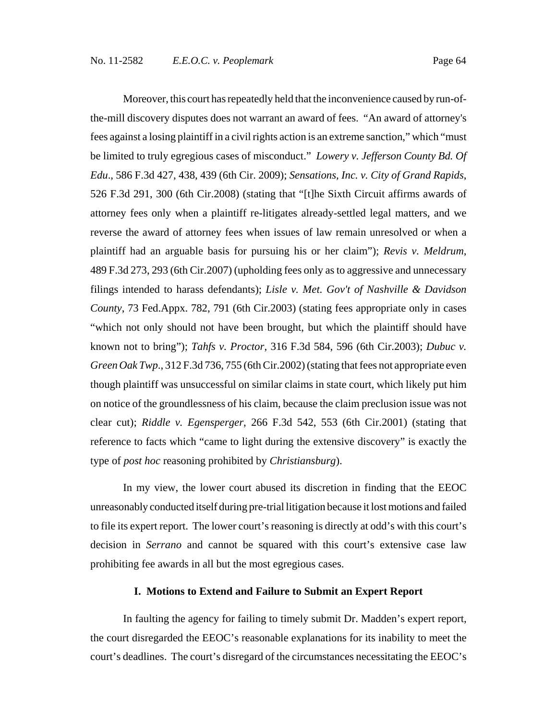Moreover, this court has repeatedly held that the inconvenience caused by run-ofthe-mill discovery disputes does not warrant an award of fees. "An award of attorney's fees against a losing plaintiff in a civil rights action is an extreme sanction," which "must be limited to truly egregious cases of misconduct." *Lowery v. Jefferson County Bd. Of Edu*., 586 F.3d 427, 438, 439 (6th Cir. 2009); *Sensations, Inc. v. City of Grand Rapids*, 526 F.3d 291, 300 (6th Cir.2008) (stating that "[t]he Sixth Circuit affirms awards of attorney fees only when a plaintiff re-litigates already-settled legal matters, and we reverse the award of attorney fees when issues of law remain unresolved or when a plaintiff had an arguable basis for pursuing his or her claim"); *Revis v. Meldrum*, 489 F.3d 273, 293 (6th Cir.2007) (upholding fees only as to aggressive and unnecessary filings intended to harass defendants); *Lisle v. Met. Gov't of Nashville & Davidson County*, 73 Fed.Appx. 782, 791 (6th Cir.2003) (stating fees appropriate only in cases "which not only should not have been brought, but which the plaintiff should have known not to bring"); *Tahfs v. Proctor*, 316 F.3d 584, 596 (6th Cir.2003); *Dubuc v. Green Oak Twp*., 312 F.3d 736, 755 (6th Cir.2002) (stating that fees not appropriate even though plaintiff was unsuccessful on similar claims in state court, which likely put him on notice of the groundlessness of his claim, because the claim preclusion issue was not clear cut); *Riddle v. Egensperger*, 266 F.3d 542, 553 (6th Cir.2001) (stating that reference to facts which "came to light during the extensive discovery" is exactly the type of *post hoc* reasoning prohibited by *Christiansburg*).

In my view, the lower court abused its discretion in finding that the EEOC unreasonably conducted itself during pre-trial litigation because it lost motions and failed to file its expert report. The lower court's reasoning is directly at odd's with this court's decision in *Serrano* and cannot be squared with this court's extensive case law prohibiting fee awards in all but the most egregious cases.

### **I. Motions to Extend and Failure to Submit an Expert Report**

In faulting the agency for failing to timely submit Dr. Madden's expert report, the court disregarded the EEOC's reasonable explanations for its inability to meet the court's deadlines. The court's disregard of the circumstances necessitating the EEOC's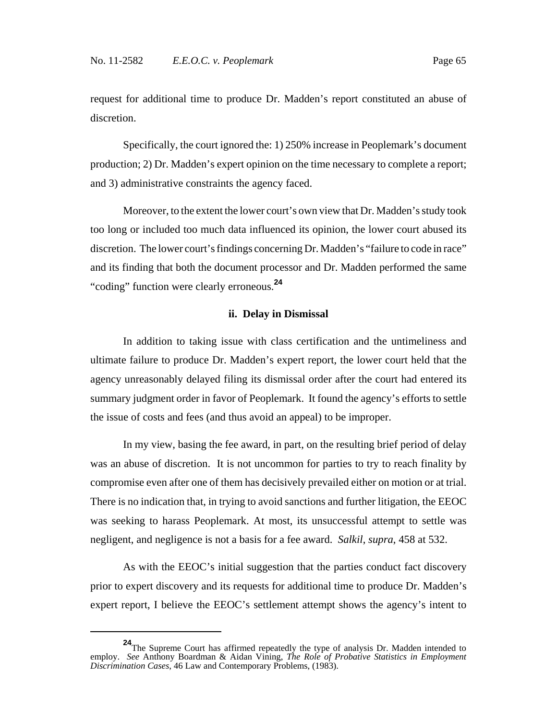request for additional time to produce Dr. Madden's report constituted an abuse of discretion.

Specifically, the court ignored the: 1) 250% increase in Peoplemark's document production; 2) Dr. Madden's expert opinion on the time necessary to complete a report; and 3) administrative constraints the agency faced.

Moreover, to the extent the lower court's own view that Dr. Madden's study took too long or included too much data influenced its opinion, the lower court abused its discretion. The lower court's findings concerning Dr. Madden's "failure to code in race" and its finding that both the document processor and Dr. Madden performed the same "coding" function were clearly erroneous.**<sup>24</sup>**

#### **ii. Delay in Dismissal**

In addition to taking issue with class certification and the untimeliness and ultimate failure to produce Dr. Madden's expert report, the lower court held that the agency unreasonably delayed filing its dismissal order after the court had entered its summary judgment order in favor of Peoplemark. It found the agency's efforts to settle the issue of costs and fees (and thus avoid an appeal) to be improper.

In my view, basing the fee award, in part, on the resulting brief period of delay was an abuse of discretion. It is not uncommon for parties to try to reach finality by compromise even after one of them has decisively prevailed either on motion or at trial. There is no indication that, in trying to avoid sanctions and further litigation, the EEOC was seeking to harass Peoplemark. At most, its unsuccessful attempt to settle was negligent, and negligence is not a basis for a fee award. *Salkil*, *supra*, 458 at 532.

As with the EEOC's initial suggestion that the parties conduct fact discovery prior to expert discovery and its requests for additional time to produce Dr. Madden's expert report, I believe the EEOC's settlement attempt shows the agency's intent to

**<sup>24</sup>**The Supreme Court has affirmed repeatedly the type of analysis Dr. Madden intended to employ. *See* Anthony Boardman & Aidan Vining, *The Role of Probative Statistics in Employment Discrimination Cases*, 46 Law and Contemporary Problems, (1983).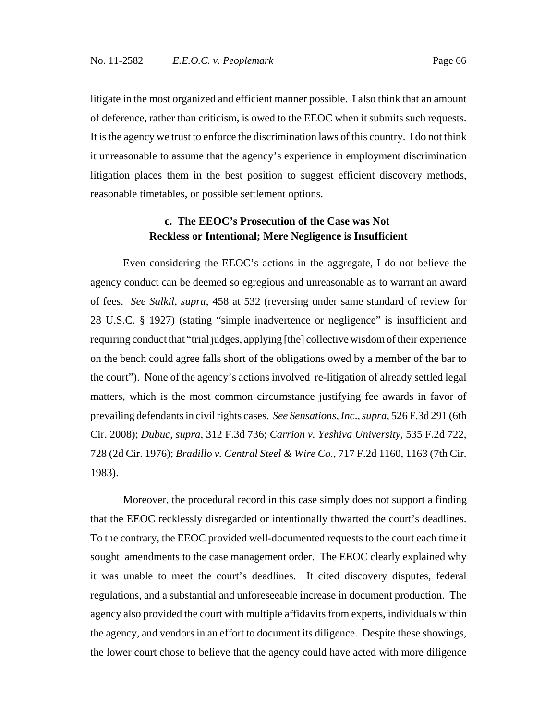litigate in the most organized and efficient manner possible. I also think that an amount of deference, rather than criticism, is owed to the EEOC when it submits such requests. It is the agency we trust to enforce the discrimination laws of this country. I do not think it unreasonable to assume that the agency's experience in employment discrimination litigation places them in the best position to suggest efficient discovery methods, reasonable timetables, or possible settlement options.

## **c. The EEOC's Prosecution of the Case was Not Reckless or Intentional; Mere Negligence is Insufficient**

Even considering the EEOC's actions in the aggregate, I do not believe the agency conduct can be deemed so egregious and unreasonable as to warrant an award of fees. *See Salkil*, *supra*, 458 at 532 (reversing under same standard of review for 28 U.S.C. § 1927) (stating "simple inadvertence or negligence" is insufficient and requiring conduct that "trial judges, applying [the] collective wisdom of their experience on the bench could agree falls short of the obligations owed by a member of the bar to the court"). None of the agency's actions involved re-litigation of already settled legal matters, which is the most common circumstance justifying fee awards in favor of prevailing defendants in civil rights cases. *See Sensations, Inc*., *supra*, 526 F.3d 291 (6th Cir. 2008); *Dubuc*, *supra*, 312 F.3d 736; *Carrion v. Yeshiva University*, 535 F.2d 722, 728 (2d Cir. 1976); *Bradillo v. Central Steel & Wire Co.*, 717 F.2d 1160, 1163 (7th Cir. 1983).

Moreover, the procedural record in this case simply does not support a finding that the EEOC recklessly disregarded or intentionally thwarted the court's deadlines. To the contrary, the EEOC provided well-documented requests to the court each time it sought amendments to the case management order. The EEOC clearly explained why it was unable to meet the court's deadlines. It cited discovery disputes, federal regulations, and a substantial and unforeseeable increase in document production. The agency also provided the court with multiple affidavits from experts, individuals within the agency, and vendors in an effort to document its diligence. Despite these showings, the lower court chose to believe that the agency could have acted with more diligence